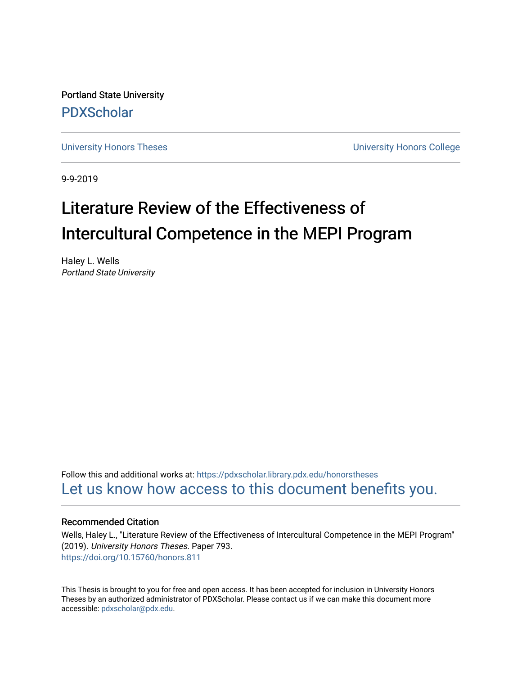Portland State University [PDXScholar](https://pdxscholar.library.pdx.edu/)

[University Honors Theses](https://pdxscholar.library.pdx.edu/honorstheses) [University Honors College](https://pdxscholar.library.pdx.edu/honors) 

9-9-2019

# Literature Review of the Effectiveness of Intercultural Competence in the MEPI Program

Haley L. Wells Portland State University

Follow this and additional works at: [https://pdxscholar.library.pdx.edu/honorstheses](https://pdxscholar.library.pdx.edu/honorstheses?utm_source=pdxscholar.library.pdx.edu%2Fhonorstheses%2F793&utm_medium=PDF&utm_campaign=PDFCoverPages)  [Let us know how access to this document benefits you.](http://library.pdx.edu/services/pdxscholar-services/pdxscholar-feedback/) 

#### Recommended Citation

Wells, Haley L., "Literature Review of the Effectiveness of Intercultural Competence in the MEPI Program" (2019). University Honors Theses. Paper 793. <https://doi.org/10.15760/honors.811>

This Thesis is brought to you for free and open access. It has been accepted for inclusion in University Honors Theses by an authorized administrator of PDXScholar. Please contact us if we can make this document more accessible: [pdxscholar@pdx.edu.](mailto:pdxscholar@pdx.edu)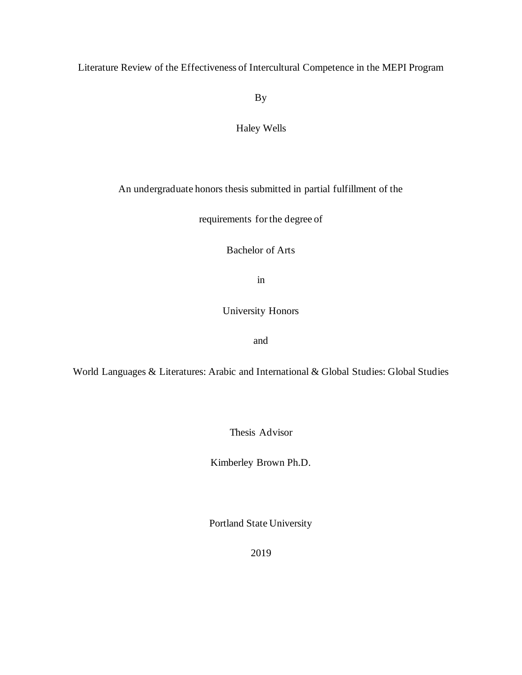### Literature Review of the Effectiveness of Intercultural Competence in the MEPI Program

By

### Haley Wells

### An undergraduate honors thesis submitted in partial fulfillment of the

requirements for the degree of

Bachelor of Arts

in

University Honors

and

World Languages & Literatures: Arabic and International & Global Studies: Global Studies

Thesis Advisor

Kimberley Brown Ph.D.

Portland State University

2019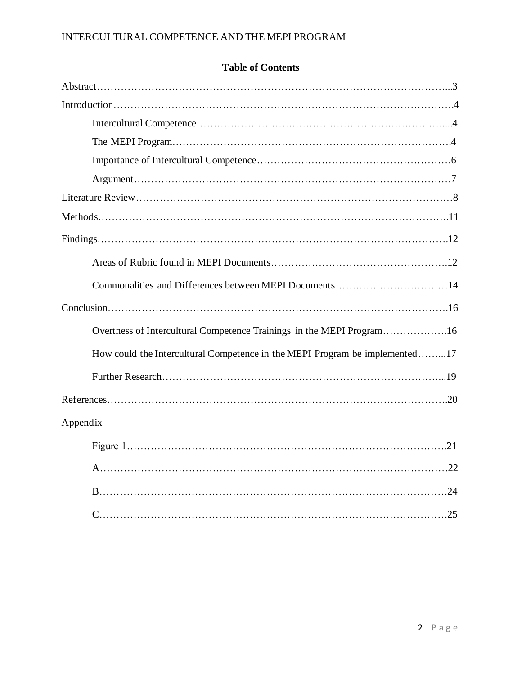| <b>Table of Contents</b> |  |
|--------------------------|--|
|--------------------------|--|

| Commonalities and Differences between MEPI Documents14                      |
|-----------------------------------------------------------------------------|
|                                                                             |
| Overtness of Intercultural Competence Trainings in the MEPI Program16       |
| How could the Intercultural Competence in the MEPI Program be implemented17 |
|                                                                             |
|                                                                             |
| Appendix                                                                    |
|                                                                             |
|                                                                             |
|                                                                             |
| .25                                                                         |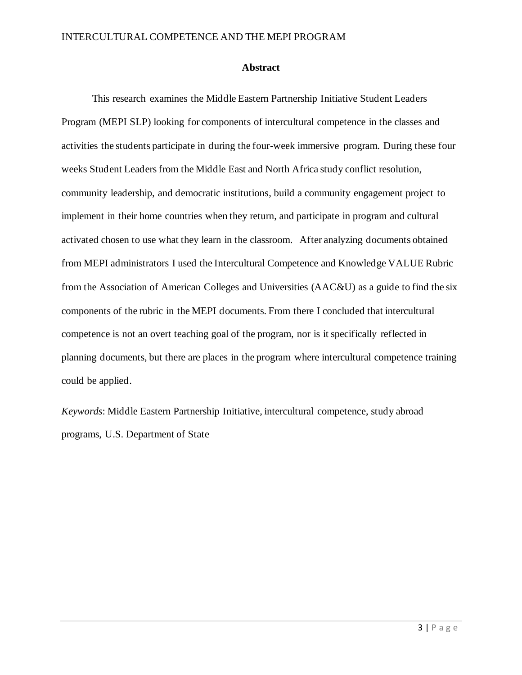#### **Abstract**

This research examines the Middle Eastern Partnership Initiative Student Leaders Program (MEPI SLP) looking for components of intercultural competence in the classes and activities the students participate in during the four-week immersive program. During these four weeks Student Leaders from the Middle East and North Africa study conflict resolution, community leadership, and democratic institutions, build a community engagement project to implement in their home countries when they return, and participate in program and cultural activated chosen to use what they learn in the classroom. After analyzing documents obtained from MEPI administrators I used the Intercultural Competence and Knowledge VALUE Rubric from the Association of American Colleges and Universities (AAC&U) as a guide to find the six components of the rubric in the MEPI documents. From there I concluded that intercultural competence is not an overt teaching goal of the program, nor is it specifically reflected in planning documents, but there are places in the program where intercultural competence training could be applied.

*Keywords*: Middle Eastern Partnership Initiative, intercultural competence, study abroad programs, U.S. Department of State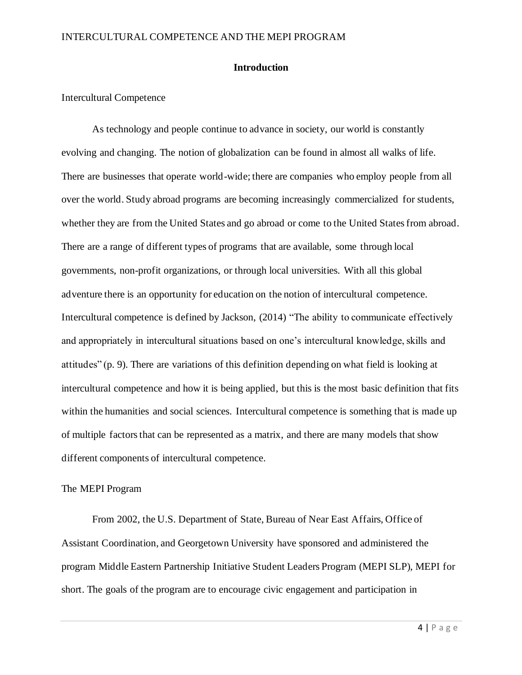### **Introduction**

#### Intercultural Competence

As technology and people continue to advance in society, our world is constantly evolving and changing. The notion of globalization can be found in almost all walks of life. There are businesses that operate world-wide; there are companies who employ people from all over the world. Study abroad programs are becoming increasingly commercialized for students, whether they are from the United States and go abroad or come to the United States from abroad. There are a range of different types of programs that are available, some through local governments, non-profit organizations, or through local universities. With all this global adventure there is an opportunity for education on the notion of intercultural competence. Intercultural competence is defined by Jackson, (2014) "The ability to communicate effectively and appropriately in intercultural situations based on one's intercultural knowledge, skills and attitudes" (p. 9). There are variations of this definition depending on what field is looking at intercultural competence and how it is being applied, but this is the most basic definition that fits within the humanities and social sciences. Intercultural competence is something that is made up of multiple factors that can be represented as a matrix, and there are many models that show different components of intercultural competence.

#### The MEPI Program

From 2002, the U.S. Department of State, Bureau of Near East Affairs, Office of Assistant Coordination, and Georgetown University have sponsored and administered the program Middle Eastern Partnership Initiative Student Leaders Program (MEPI SLP), MEPI for short. The goals of the program are to encourage civic engagement and participation in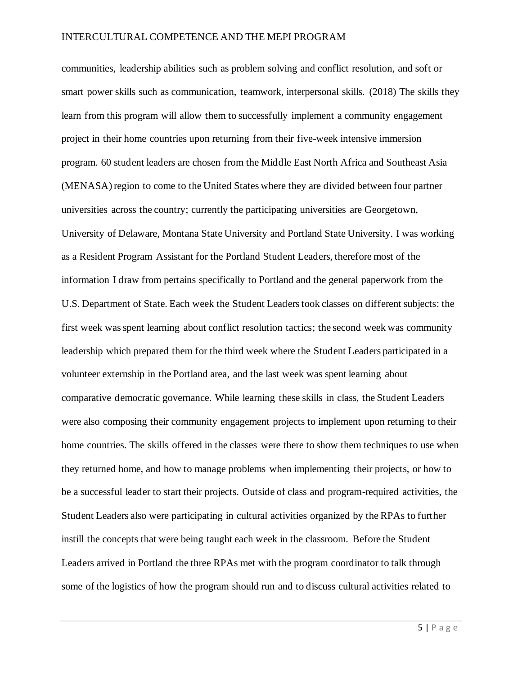communities, leadership abilities such as problem solving and conflict resolution, and soft or smart power skills such as communication, teamwork, interpersonal skills. (2018) The skills they learn from this program will allow them to successfully implement a community engagement project in their home countries upon returning from their five-week intensive immersion program. 60 student leaders are chosen from the Middle East North Africa and Southeast Asia (MENASA) region to come to the United States where they are divided between four partner universities across the country; currently the participating universities are Georgetown, University of Delaware, Montana State University and Portland State University. I was working as a Resident Program Assistant for the Portland Student Leaders, therefore most of the information I draw from pertains specifically to Portland and the general paperwork from the U.S. Department of State. Each week the Student Leaders took classes on different subjects: the first week was spent learning about conflict resolution tactics; the second week was community leadership which prepared them for the third week where the Student Leaders participated in a volunteer externship in the Portland area, and the last week was spent learning about comparative democratic governance. While learning these skills in class, the Student Leaders were also composing their community engagement projects to implement upon returning to their home countries. The skills offered in the classes were there to show them techniques to use when they returned home, and how to manage problems when implementing their projects, or how to be a successful leader to start their projects. Outside of class and program-required activities, the Student Leaders also were participating in cultural activities organized by the RPAs to further instill the concepts that were being taught each week in the classroom. Before the Student Leaders arrived in Portland the three RPAs met with the program coordinator to talk through some of the logistics of how the program should run and to discuss cultural activities related to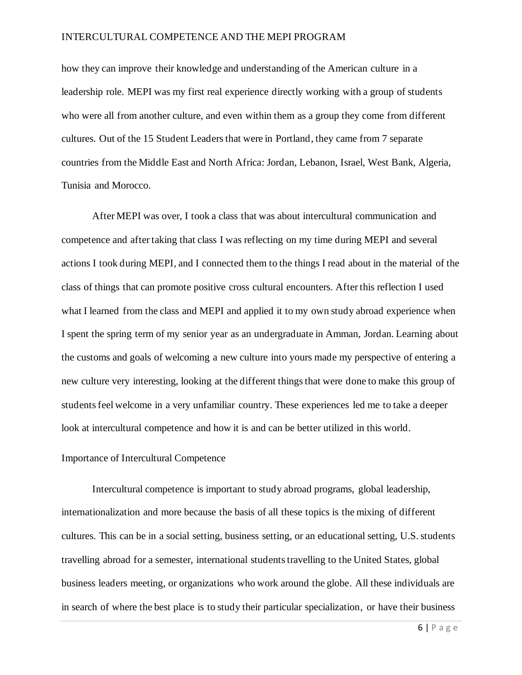how they can improve their knowledge and understanding of the American culture in a leadership role. MEPI was my first real experience directly working with a group of students who were all from another culture, and even within them as a group they come from different cultures. Out of the 15 Student Leaders that were in Portland, they came from 7 separate countries from the Middle East and North Africa: Jordan, Lebanon, Israel, West Bank, Algeria, Tunisia and Morocco.

After MEPI was over, I took a class that was about intercultural communication and competence and after taking that class I was reflecting on my time during MEPI and several actions I took during MEPI, and I connected them to the things I read about in the material of the class of things that can promote positive cross cultural encounters. After this reflection I used what I learned from the class and MEPI and applied it to my own study abroad experience when I spent the spring term of my senior year as an undergraduate in Amman, Jordan. Learning about the customs and goals of welcoming a new culture into yours made my perspective of entering a new culture very interesting, looking at the different things that were done to make this group of students feel welcome in a very unfamiliar country. These experiences led me to take a deeper look at intercultural competence and how it is and can be better utilized in this world.

#### Importance of Intercultural Competence

Intercultural competence is important to study abroad programs, global leadership, internationalization and more because the basis of all these topics is the mixing of different cultures. This can be in a social setting, business setting, or an educational setting, U.S. students travelling abroad for a semester, international students travelling to the United States, global business leaders meeting, or organizations who work around the globe. All these individuals are in search of where the best place is to study their particular specialization, or have their business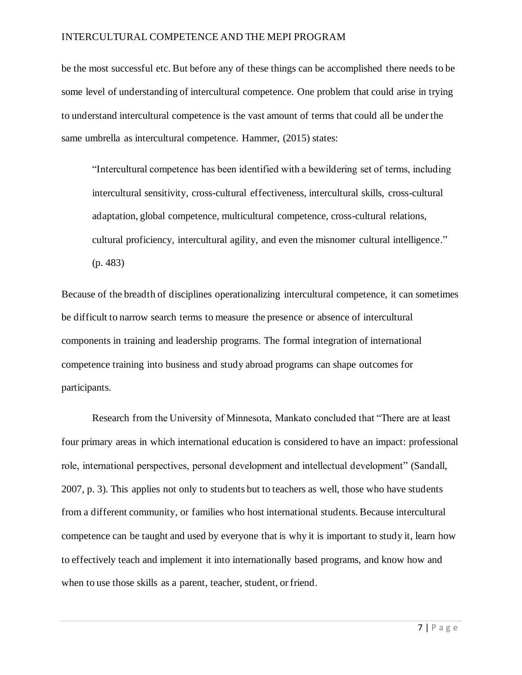be the most successful etc. But before any of these things can be accomplished there needs to be some level of understanding of intercultural competence. One problem that could arise in trying to understand intercultural competence is the vast amount of terms that could all be under the same umbrella as intercultural competence. Hammer, (2015) states:

"Intercultural competence has been identified with a bewildering set of terms, including intercultural sensitivity, cross-cultural effectiveness, intercultural skills, cross-cultural adaptation, global competence, multicultural competence, cross-cultural relations, cultural proficiency, intercultural agility, and even the misnomer cultural intelligence." (p. 483)

Because of the breadth of disciplines operationalizing intercultural competence, it can sometimes be difficult to narrow search terms to measure the presence or absence of intercultural components in training and leadership programs. The formal integration of international competence training into business and study abroad programs can shape outcomes for participants.

Research from the University of Minnesota, Mankato concluded that "There are at least four primary areas in which international education is considered to have an impact: professional role, international perspectives, personal development and intellectual development" (Sandall, 2007, p. 3). This applies not only to students but to teachers as well, those who have students from a different community, or families who host international students. Because intercultural competence can be taught and used by everyone that is why it is important to study it, learn how to effectively teach and implement it into internationally based programs, and know how and when to use those skills as a parent, teacher, student, or friend.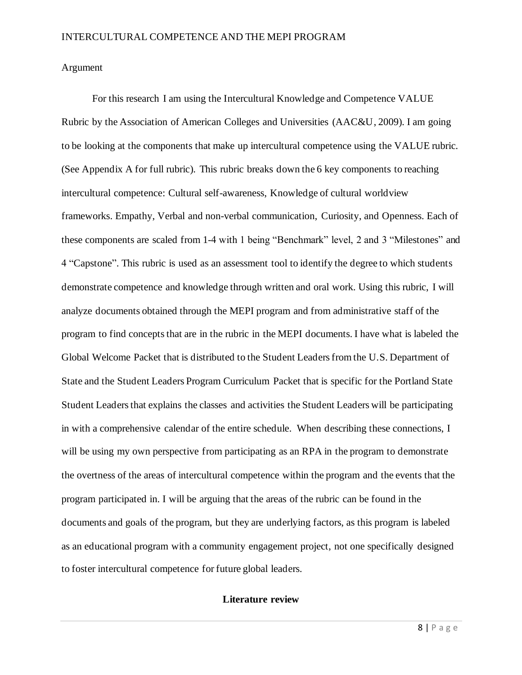### Argument

For this research I am using the Intercultural Knowledge and Competence VALUE Rubric by the Association of American Colleges and Universities (AAC&U, 2009). I am going to be looking at the components that make up intercultural competence using the VALUE rubric. (See Appendix A for full rubric). This rubric breaks down the 6 key components to reaching intercultural competence: Cultural self-awareness, Knowledge of cultural worldview frameworks. Empathy, Verbal and non-verbal communication, Curiosity, and Openness. Each of these components are scaled from 1-4 with 1 being "Benchmark" level, 2 and 3 "Milestones" and 4 "Capstone". This rubric is used as an assessment tool to identify the degree to which students demonstrate competence and knowledge through written and oral work. Using this rubric, I will analyze documents obtained through the MEPI program and from administrative staff of the program to find conceptsthat are in the rubric in the MEPI documents. I have what is labeled the Global Welcome Packet that is distributed to the Student Leaders from the U.S. Department of State and the Student Leaders Program Curriculum Packet that is specific for the Portland State Student Leaders that explains the classes and activities the Student Leaders will be participating in with a comprehensive calendar of the entire schedule. When describing these connections, I will be using my own perspective from participating as an RPA in the program to demonstrate the overtness of the areas of intercultural competence within the program and the events that the program participated in. I will be arguing that the areas of the rubric can be found in the documents and goals of the program, but they are underlying factors, as this program is labeled as an educational program with a community engagement project, not one specifically designed to foster intercultural competence for future global leaders.

### **Literature review**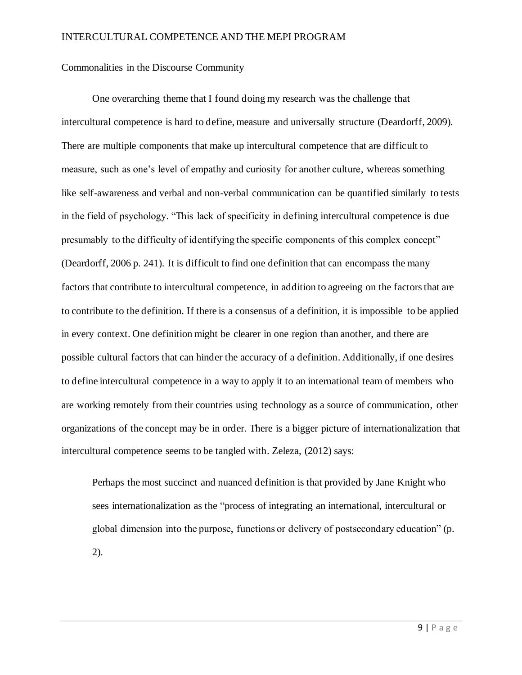#### Commonalities in the Discourse Community

One overarching theme that I found doing my research was the challenge that intercultural competence is hard to define, measure and universally structure (Deardorff, 2009). There are multiple components that make up intercultural competence that are difficult to measure, such as one's level of empathy and curiosity for another culture, whereas something like self-awareness and verbal and non-verbal communication can be quantified similarly to tests in the field of psychology. "This lack of specificity in defining intercultural competence is due presumably to the difficulty of identifying the specific components of this complex concept" (Deardorff, 2006 p. 241). It is difficult to find one definition that can encompass the many factors that contribute to intercultural competence, in addition to agreeing on the factors that are to contribute to the definition. If there is a consensus of a definition, it is impossible to be applied in every context. One definition might be clearer in one region than another, and there are possible cultural factors that can hinder the accuracy of a definition. Additionally, if one desires to define intercultural competence in a way to apply it to an international team of members who are working remotely from their countries using technology as a source of communication, other organizations of the concept may be in order. There is a bigger picture of internationalization that intercultural competence seems to be tangled with. Zeleza, (2012) says:

Perhaps the most succinct and nuanced definition is that provided by Jane Knight who sees internationalization as the "process of integrating an international, intercultural or global dimension into the purpose, functions or delivery of postsecondary education" (p. 2).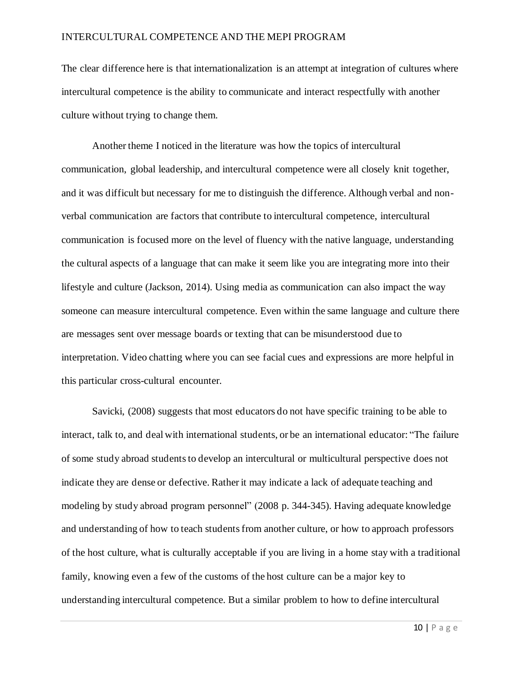The clear difference here is that internationalization is an attempt at integration of cultures where intercultural competence is the ability to communicate and interact respectfully with another culture without trying to change them.

Another theme I noticed in the literature was how the topics of intercultural communication, global leadership, and intercultural competence were all closely knit together, and it was difficult but necessary for me to distinguish the difference. Although verbal and nonverbal communication are factors that contribute to intercultural competence, intercultural communication is focused more on the level of fluency with the native language, understanding the cultural aspects of a language that can make it seem like you are integrating more into their lifestyle and culture (Jackson, 2014). Using media as communication can also impact the way someone can measure intercultural competence. Even within the same language and culture there are messages sent over message boards or texting that can be misunderstood due to interpretation. Video chatting where you can see facial cues and expressions are more helpful in this particular cross-cultural encounter.

Savicki, (2008) suggests that most educators do not have specific training to be able to interact, talk to, and deal with international students, or be an international educator: "The failure of some study abroad students to develop an intercultural or multicultural perspective does not indicate they are dense or defective. Rather it may indicate a lack of adequate teaching and modeling by study abroad program personnel" (2008 p. 344-345). Having adequate knowledge and understanding of how to teach students from another culture, or how to approach professors of the host culture, what is culturally acceptable if you are living in a home stay with a traditional family, knowing even a few of the customs of the host culture can be a major key to understanding intercultural competence. But a similar problem to how to define intercultural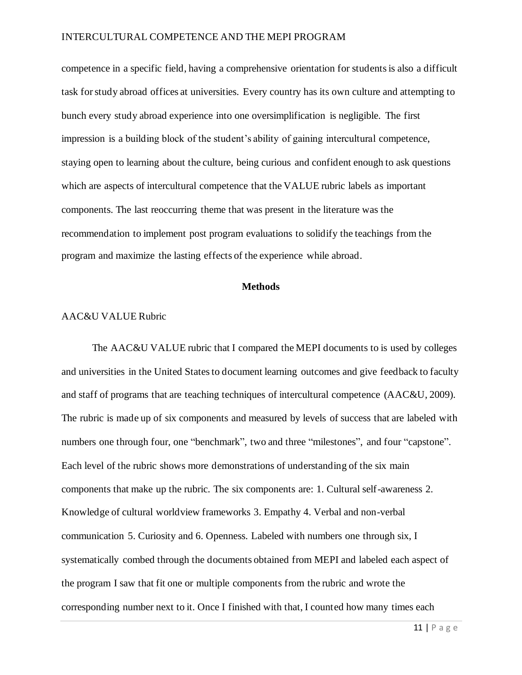competence in a specific field, having a comprehensive orientation for students is also a difficult task for study abroad offices at universities. Every country has its own culture and attempting to bunch every study abroad experience into one oversimplification is negligible. The first impression is a building block of the student's ability of gaining intercultural competence, staying open to learning about the culture, being curious and confident enough to ask questions which are aspects of intercultural competence that the VALUE rubric labels as important components. The last reoccurring theme that was present in the literature was the recommendation to implement post program evaluations to solidify the teachings from the program and maximize the lasting effects of the experience while abroad.

#### **Methods**

#### AAC&U VALUE Rubric

The AAC&U VALUE rubric that I compared the MEPI documents to is used by colleges and universities in the United States to document learning outcomes and give feedback to faculty and staff of programs that are teaching techniques of intercultural competence (AAC&U, 2009). The rubric is made up of six components and measured by levels of success that are labeled with numbers one through four, one "benchmark", two and three "milestones", and four "capstone". Each level of the rubric shows more demonstrations of understanding of the six main components that make up the rubric. The six components are: 1. Cultural self-awareness 2. Knowledge of cultural worldview frameworks 3. Empathy 4. Verbal and non-verbal communication 5. Curiosity and 6. Openness. Labeled with numbers one through six, I systematically combed through the documents obtained from MEPI and labeled each aspect of the program I saw that fit one or multiple components from the rubric and wrote the corresponding number next to it. Once I finished with that, I counted how many times each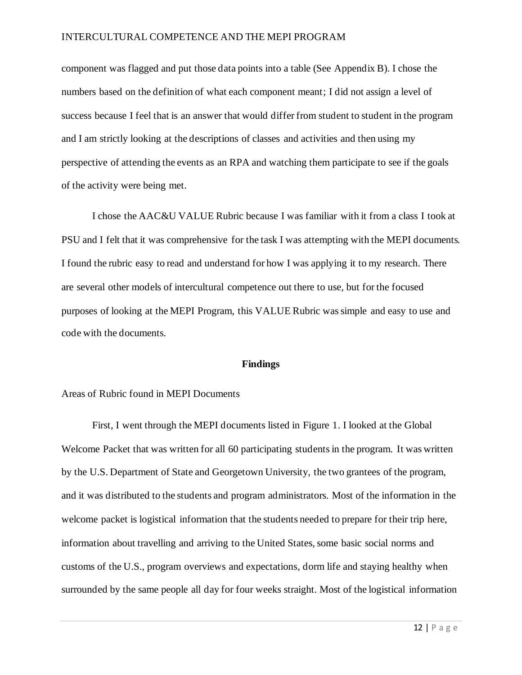component was flagged and put those data points into a table (See Appendix B). I chose the numbers based on the definition of what each component meant; I did not assign a level of success because I feel that is an answer that would differ from student to student in the program and I am strictly looking at the descriptions of classes and activities and then using my perspective of attending the events as an RPA and watching them participate to see if the goals of the activity were being met.

I chose the AAC&U VALUE Rubric because I was familiar with it from a class I took at PSU and I felt that it was comprehensive for the task I was attempting with the MEPI documents. I found the rubric easy to read and understand for how I was applying it to my research. There are several other models of intercultural competence out there to use, but for the focused purposes of looking at the MEPI Program, this VALUE Rubric was simple and easy to use and code with the documents.

#### **Findings**

#### Areas of Rubric found in MEPI Documents

First, I went through the MEPI documents listed in Figure 1. I looked at the Global Welcome Packet that was written for all 60 participating students in the program. It was written by the U.S. Department of State and Georgetown University, the two grantees of the program, and it was distributed to the students and program administrators. Most of the information in the welcome packet is logistical information that the students needed to prepare for their trip here, information about travelling and arriving to the United States, some basic social norms and customs of the U.S., program overviews and expectations, dorm life and staying healthy when surrounded by the same people all day for four weeks straight. Most of the logistical information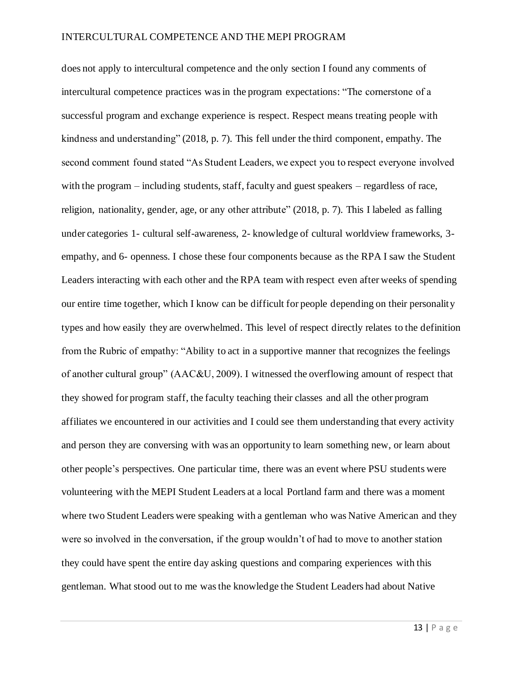does not apply to intercultural competence and the only section I found any comments of intercultural competence practices was in the program expectations: "The cornerstone of a successful program and exchange experience is respect. Respect means treating people with kindness and understanding" (2018, p. 7). This fell under the third component, empathy. The second comment found stated "As Student Leaders, we expect you to respect everyone involved with the program – including students, staff, faculty and guest speakers – regardless of race, religion, nationality, gender, age, or any other attribute" (2018, p. 7). This I labeled as falling under categories 1- cultural self-awareness, 2- knowledge of cultural worldview frameworks, 3 empathy, and 6- openness. I chose these four components because as the RPA I saw the Student Leaders interacting with each other and the RPA team with respect even after weeks of spending our entire time together, which I know can be difficult for people depending on their personality types and how easily they are overwhelmed. This level of respect directly relates to the definition from the Rubric of empathy: "Ability to act in a supportive manner that recognizes the feelings of another cultural group" (AAC&U, 2009). I witnessed the overflowing amount of respect that they showed for program staff, the faculty teaching their classes and all the other program affiliates we encountered in our activities and I could see them understanding that every activity and person they are conversing with was an opportunity to learn something new, or learn about other people's perspectives. One particular time, there was an event where PSU students were volunteering with the MEPI Student Leaders at a local Portland farm and there was a moment where two Student Leaders were speaking with a gentleman who was Native American and they were so involved in the conversation, if the group wouldn't of had to move to another station they could have spent the entire day asking questions and comparing experiences with this gentleman. What stood out to me was the knowledge the Student Leaders had about Native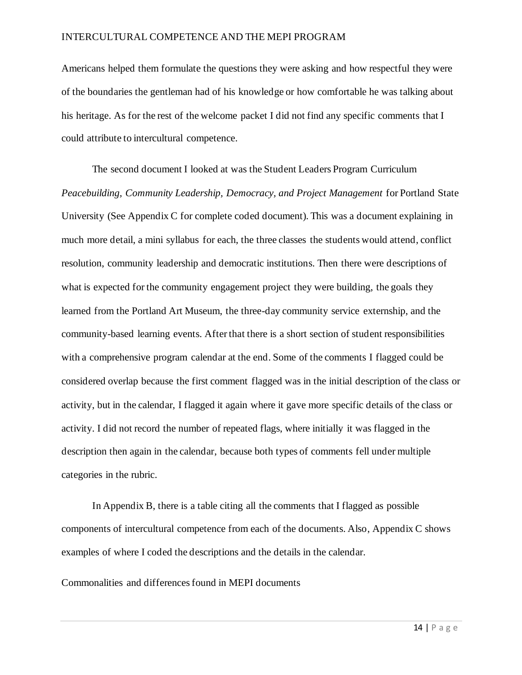Americans helped them formulate the questions they were asking and how respectful they were of the boundaries the gentleman had of his knowledge or how comfortable he was talking about his heritage. As for the rest of the welcome packet I did not find any specific comments that I could attribute to intercultural competence.

The second document I looked at was the Student Leaders Program Curriculum *Peacebuilding, Community Leadership, Democracy, and Project Management* for Portland State University (See Appendix C for complete coded document). This was a document explaining in much more detail, a mini syllabus for each, the three classes the students would attend, conflict resolution, community leadership and democratic institutions. Then there were descriptions of what is expected for the community engagement project they were building, the goals they learned from the Portland Art Museum, the three-day community service externship, and the community-based learning events. After that there is a short section of student responsibilities with a comprehensive program calendar at the end. Some of the comments I flagged could be considered overlap because the first comment flagged was in the initial description of the class or activity, but in the calendar, I flagged it again where it gave more specific details of the class or activity. I did not record the number of repeated flags, where initially it was flagged in the description then again in the calendar, because both types of comments fell under multiple categories in the rubric.

In Appendix B, there is a table citing all the comments that I flagged as possible components of intercultural competence from each of the documents. Also, Appendix C shows examples of where I coded the descriptions and the details in the calendar.

Commonalities and differences found in MEPI documents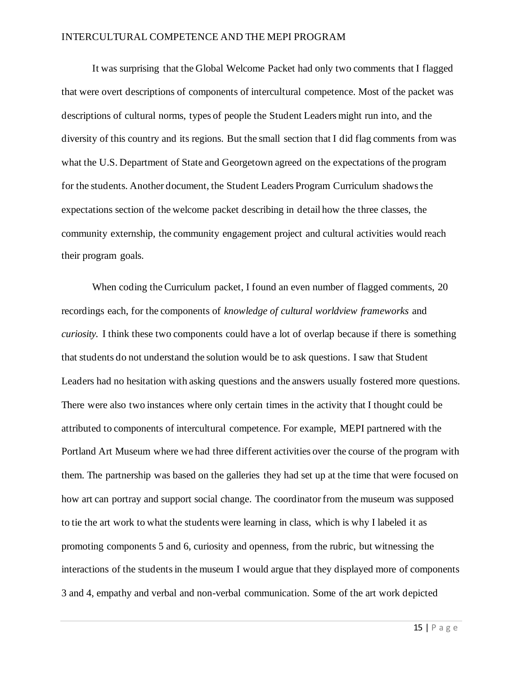It was surprising that the Global Welcome Packet had only two comments that I flagged that were overt descriptions of components of intercultural competence. Most of the packet was descriptions of cultural norms, types of people the Student Leaders might run into, and the diversity of this country and its regions. But the small section that I did flag comments from was what the U.S. Department of State and Georgetown agreed on the expectations of the program for the students. Another document, the Student Leaders Program Curriculum shadows the expectations section of the welcome packet describing in detail how the three classes, the community externship, the community engagement project and cultural activities would reach their program goals.

When coding the Curriculum packet, I found an even number of flagged comments, 20 recordings each, for the components of *knowledge of cultural worldview frameworks* and *curiosity.* I think these two components could have a lot of overlap because if there is something that students do not understand the solution would be to ask questions. I saw that Student Leaders had no hesitation with asking questions and the answers usually fostered more questions. There were also two instances where only certain times in the activity that I thought could be attributed to components of intercultural competence. For example, MEPI partnered with the Portland Art Museum where we had three different activities over the course of the program with them. The partnership was based on the galleries they had set up at the time that were focused on how art can portray and support social change. The coordinator from the museum was supposed to tie the art work to what the students were learning in class, which is why I labeled it as promoting components 5 and 6, curiosity and openness, from the rubric, but witnessing the interactions of the students in the museum I would argue that they displayed more of components 3 and 4, empathy and verbal and non-verbal communication. Some of the art work depicted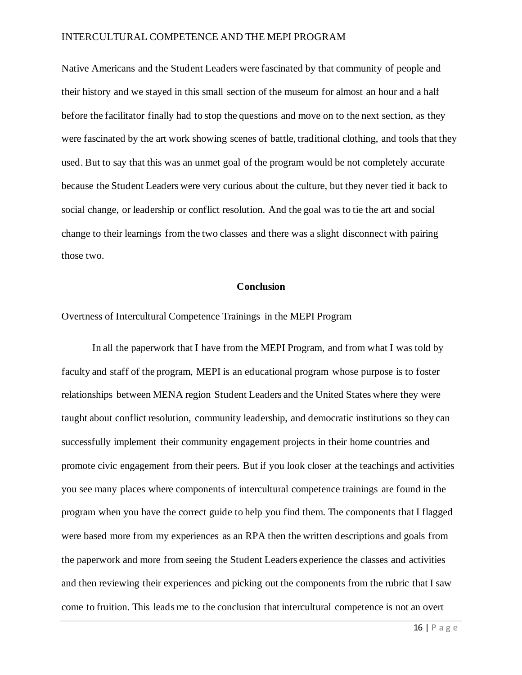Native Americans and the Student Leaders were fascinated by that community of people and their history and we stayed in this small section of the museum for almost an hour and a half before the facilitator finally had to stop the questions and move on to the next section, as they were fascinated by the art work showing scenes of battle, traditional clothing, and tools that they used. But to say that this was an unmet goal of the program would be not completely accurate because the Student Leaders were very curious about the culture, but they never tied it back to social change, or leadership or conflict resolution. And the goal was to tie the art and social change to their learnings from the two classes and there was a slight disconnect with pairing those two.

### **Conclusion**

Overtness of Intercultural Competence Trainings in the MEPI Program

In all the paperwork that I have from the MEPI Program, and from what I was told by faculty and staff of the program, MEPI is an educational program whose purpose is to foster relationships between MENA region Student Leaders and the United States where they were taught about conflict resolution, community leadership, and democratic institutions so they can successfully implement their community engagement projects in their home countries and promote civic engagement from their peers. But if you look closer at the teachings and activities you see many places where components of intercultural competence trainings are found in the program when you have the correct guide to help you find them. The components that I flagged were based more from my experiences as an RPA then the written descriptions and goals from the paperwork and more from seeing the Student Leaders experience the classes and activities and then reviewing their experiences and picking out the components from the rubric that I saw come to fruition. This leads me to the conclusion that intercultural competence is not an overt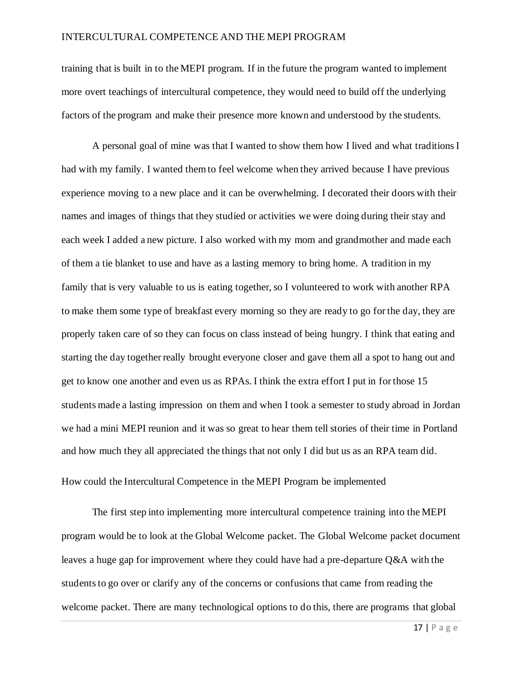training that is built in to the MEPI program. If in the future the program wanted to implement more overt teachings of intercultural competence, they would need to build off the underlying factors of the program and make their presence more known and understood by the students.

A personal goal of mine was that I wanted to show them how I lived and what traditions I had with my family. I wanted them to feel welcome when they arrived because I have previous experience moving to a new place and it can be overwhelming. I decorated their doors with their names and images of things that they studied or activities we were doing during their stay and each week I added a new picture. I also worked with my mom and grandmother and made each of them a tie blanket to use and have as a lasting memory to bring home. A tradition in my family that is very valuable to us is eating together, so I volunteered to work with another RPA to make them some type of breakfast every morning so they are ready to go for the day, they are properly taken care of so they can focus on class instead of being hungry. I think that eating and starting the day together really brought everyone closer and gave them all a spot to hang out and get to know one another and even us as RPAs. I think the extra effort I put in for those 15 students made a lasting impression on them and when I took a semester to study abroad in Jordan we had a mini MEPI reunion and it was so great to hear them tell stories of their time in Portland and how much they all appreciated the things that not only I did but us as an RPA team did. How could the Intercultural Competence in the MEPI Program be implemented

The first step into implementing more intercultural competence training into the MEPI program would be to look at the Global Welcome packet. The Global Welcome packet document leaves a huge gap for improvement where they could have had a pre-departure Q&A with the students to go over or clarify any of the concerns or confusions that came from reading the welcome packet. There are many technological options to do this, there are programs that global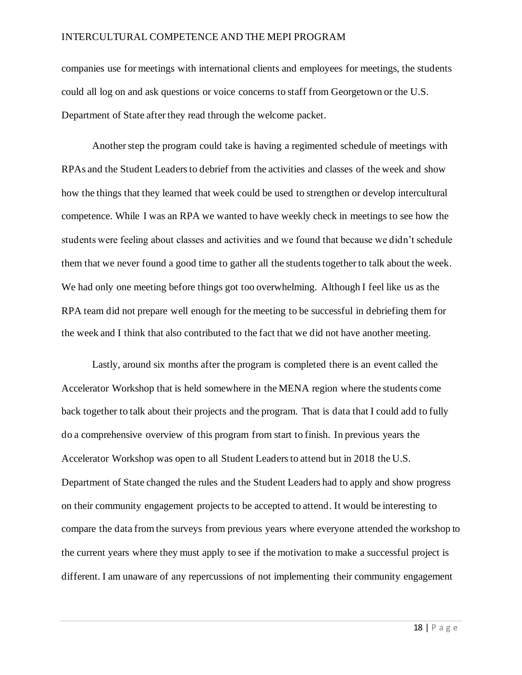companies use for meetings with international clients and employees for meetings, the students could all log on and ask questions or voice concerns to staff from Georgetown or the U.S. Department of State after they read through the welcome packet.

Another step the program could take is having a regimented schedule of meetings with RPAs and the Student Leaders to debrief from the activities and classes of the week and show how the things that they learned that week could be used to strengthen or develop intercultural competence. While I was an RPA we wanted to have weekly check in meetings to see how the students were feeling about classes and activities and we found that because we didn't schedule them that we never found a good time to gather all the students together to talk about the week. We had only one meeting before things got too overwhelming. Although I feel like us as the RPA team did not prepare well enough for the meeting to be successful in debriefing them for the week and I think that also contributed to the fact that we did not have another meeting.

Lastly, around six months after the program is completed there is an event called the Accelerator Workshop that is held somewhere in the MENA region where the students come back together to talk about their projects and the program. That is data that I could add to fully do a comprehensive overview of this program from start to finish. In previous years the Accelerator Workshop was open to all Student Leaders to attend but in 2018 the U.S. Department of State changed the rules and the Student Leaders had to apply and show progress on their community engagement projects to be accepted to attend. It would be interesting to compare the data from the surveys from previous years where everyone attended the workshop to the current years where they must apply to see if the motivation to make a successful project is different. I am unaware of any repercussions of not implementing their community engagement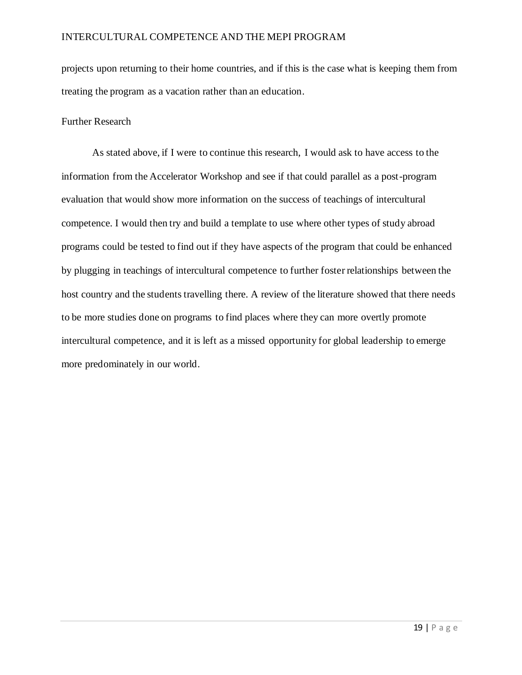projects upon returning to their home countries, and if this is the case what is keeping them from treating the program as a vacation rather than an education.

#### Further Research

As stated above, if I were to continue this research, I would ask to have access to the information from the Accelerator Workshop and see if that could parallel as a post-program evaluation that would show more information on the success of teachings of intercultural competence. I would then try and build a template to use where other types of study abroad programs could be tested to find out if they have aspects of the program that could be enhanced by plugging in teachings of intercultural competence to further foster relationships between the host country and the students travelling there. A review of the literature showed that there needs to be more studies done on programs to find places where they can more overtly promote intercultural competence, and it is left as a missed opportunity for global leadership to emerge more predominately in our world.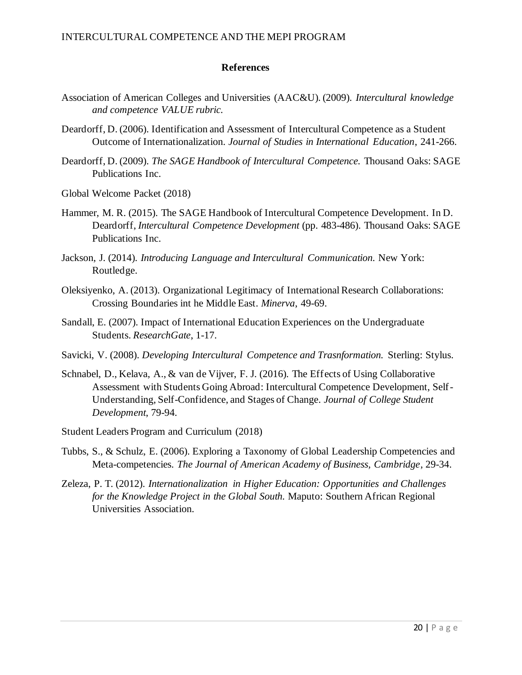### **References**

- Association of American Colleges and Universities (AAC&U). (2009). *Intercultural knowledge and competence VALUE rubric.*
- Deardorff, D. (2006). Identification and Assessment of Intercultural Competence as a Student Outcome of Internationalization. *Journal of Studies in International Education*, 241-266.
- Deardorff, D. (2009). *The SAGE Handbook of Intercultural Competence.* Thousand Oaks: SAGE Publications Inc.
- Global Welcome Packet (2018)
- Hammer, M. R. (2015). The SAGE Handbook of Intercultural Competence Development. In D. Deardorff, *Intercultural Competence Development* (pp. 483-486). Thousand Oaks: SAGE Publications Inc.
- Jackson, J. (2014). *Introducing Language and Intercultural Communication.* New York: Routledge.
- Oleksiyenko, A. (2013). Organizational Legitimacy of International Research Collaborations: Crossing Boundaries int he Middle East. *Minerva*, 49-69.
- Sandall, E. (2007). Impact of International Education Experiences on the Undergraduate Students. *ResearchGate*, 1-17.
- Savicki, V. (2008). *Developing Intercultural Competence and Trasnformation.* Sterling: Stylus.
- Schnabel, D., Kelava, A., & van de Vijver, F. J. (2016). The Effects of Using Collaborative Assessment with Students Going Abroad: Intercultural Competence Development, Self-Understanding, Self-Confidence, and Stages of Change. *Journal of College Student Development*, 79-94.
- Student Leaders Program and Curriculum (2018)
- Tubbs, S., & Schulz, E. (2006). Exploring a Taxonomy of Global Leadership Competencies and Meta-competencies. *The Journal of American Academy of Business, Cambridge*, 29-34.
- Zeleza, P. T. (2012). *Internationalization in Higher Education: Opportunities and Challenges for the Knowledge Project in the Global South.* Maputo: Southern African Regional Universities Association.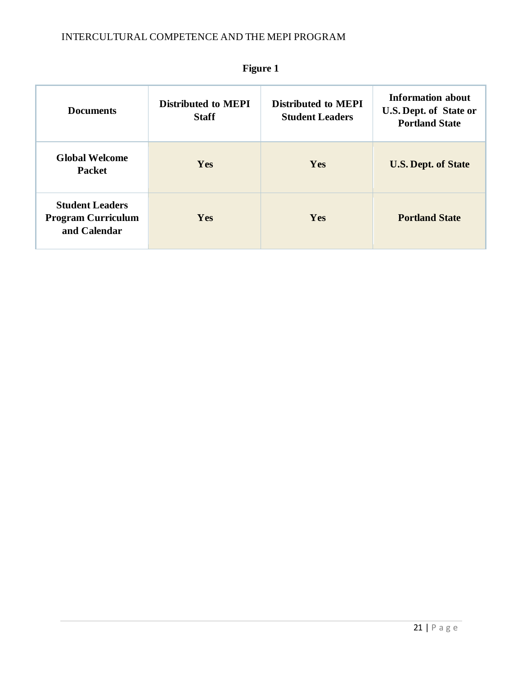| <b>Documents</b>                                                    | <b>Distributed to MEPI</b><br><b>Staff</b> | <b>Distributed to MEPI</b><br><b>Student Leaders</b> | <b>Information about</b><br>U.S. Dept. of State or<br><b>Portland State</b> |
|---------------------------------------------------------------------|--------------------------------------------|------------------------------------------------------|-----------------------------------------------------------------------------|
| <b>Global Welcome</b><br><b>Packet</b>                              | <b>Yes</b>                                 | Yes                                                  | <b>U.S. Dept. of State</b>                                                  |
| <b>Student Leaders</b><br><b>Program Curriculum</b><br>and Calendar | <b>Yes</b>                                 | Yes                                                  | <b>Portland State</b>                                                       |

**Figure 1**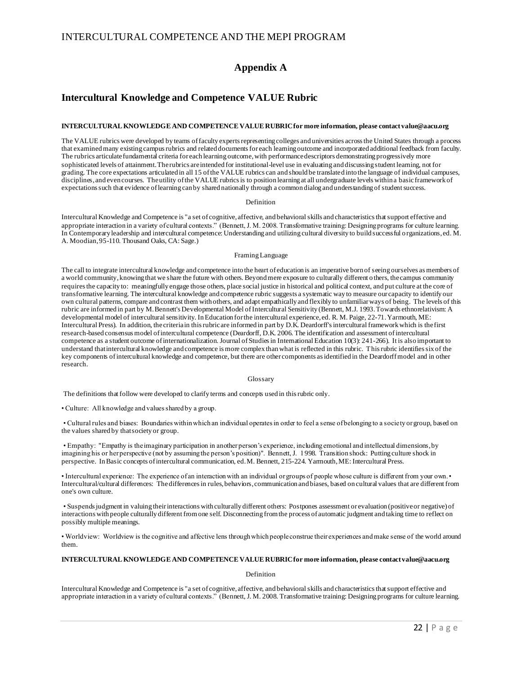### **Appendix A**

### **Intercultural Knowledge and Competence VALUE Rubric**

#### **INTERCULTURAL KNOWLEDGE AND COMPETENCE VALUE RUBRIC for more information, please contact value@aacu.org**

The VALUE rubrics were developed by teams of faculty experts representing colleges and universities across the United States through a process that examined many existing campus rubrics and related documents for each learning outcome and incorporated additional feedback from faculty. The rubrics articulate fundamental criteria for each learning outcome, with performance descriptors demonstrating progressively more sophisticated levels of attainment. The rubrics are intended for institutional-level use in evaluating and discussing student learning, not for grading. The core expectations articulated in all 15 of the VALUE rubrics can and should be translated into the language of individual campuses, disciplines, and even courses. The utility of the VALUE rubrics is to position learning at all undergraduate levels within a basic framework of expectations such that evidence of learning can by shared nationally through a common dialog and understanding of student success.

#### Definition

Intercultural Knowledge and Competence is "a set of cognitive, affective, and behavioral skills and characteristics that support effective and appropriate interaction in a variety of cultural contexts." (Bennett, J. M. 2008. Transformative training: Designing programs for culture learning. In Contemporary leadership and intercultural competence: Understanding and utilizing cultural diversity to build successful o rganizations, ed. M. A. Moodian, 95-110. Thousand Oaks, CA: Sage.)

#### Framing Language

The call to integrate intercultural knowledge and competence into the heart of education is an imperative born of seeing ourselves as members of a world community, knowing that we share the future with others. Beyond mere exposure to culturally different o thers, the campus community requires the capacity to: meaningfully engage those others, place social justice in historical and political context, and put culture at the core of transformative learning. The intercultural knowledge and competence rubric suggests a systematic way to measure our capacity to identify our own cultural patterns, compare and contrast them with others, and adapt empathically and flexibly to unfamiliar ways of being. The levels of this rubric are informed in part by M. Bennett's Developmental Model of Intercultural Sensitivity (Bennett, M.J. 1993. Towards ethnorelativism: A developmental model of intercultural sensitivity. In Education for the intercultural experience, ed. R. M. Paige, 22-71. Yarmouth, ME: Intercultural Press). In addition, the criteria in this rubric are informed in part by D.K. Deardorff's intercultural framework which is the first research-based consensus model of intercultural competence (Deardorff, D.K. 2006. The identification and assessment of intercultural competence as a student outcome of internationalization. Journal of Studies in International Education 10(3): 241-266). It is also important to understand that intercultural knowledge and competence is more complex than what is reflected in this rubric. This rubric identifies six of the key components of intercultural knowledge and competence, but there are other components as identified in the Deardorff model and in other research.

#### Glossary

The definitions that follow were developed to clarify terms and concepts used in this rubric only.

• Culture: All knowledge and values shared by a group.

• Cultural rules and biases: Boundaries within which an individual operates in order to feel a sense of belonging to a society or group, based on the values shared by that society or group.

• Empathy: "Empathy is the imaginary participation in another person's experience, including emotional and intellectual dimensions, by imagining his or her perspective (not by assuming the person's position)". Bennett, J. 1998. Transition shock: Putting culture shock in perspective. In Basic concepts of intercultural communication, ed. M. Bennett, 215-224. Yarmouth, ME: Intercultural Press.

• Intercultural experience: The experience of an interaction with an individual or groups of people whose culture is different from your own. • Intercultural/cultural differences: The differences in rules, behaviors, communication and biases, based on cultural values that are different from one's own culture.

• Suspends judgment in valuing their interactions with culturally different others: Postpones assessment or evaluation (positive or negative) of interactions with people culturally different from one self. Disconnecting from the process of automatic judgment and taking time to reflect on possibly multiple meanings.

• Worldview: Worldview is the cognitive and affective lens through which people construe their experiences and make sense of the world around them.

#### **INTERCULTURAL KNOWLEDGE AND COMPETENCE VALUE RUBRIC for more information, please contact value@aacu.org**

#### Definition

Intercultural Knowledge and Competence is "a set of cognitive, affective, and behavioral skills and characteristics that support effective and appropriate interaction in a variety of cultural contexts." (Bennett, J. M. 2008. Transformative training: Designing programs for culture learning.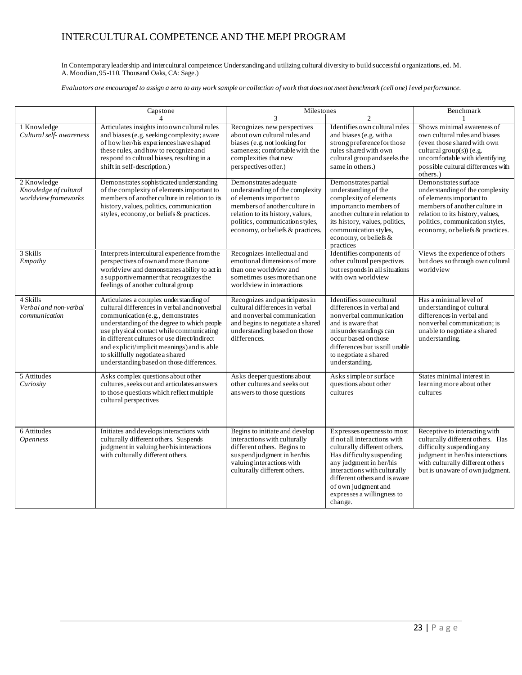In Contemporary leadership and intercultural competence: Understanding and utilizing cultural diversity to build successful o rganizations, ed. M. A. Moodian, 95-110. Thousand Oaks, CA: Sage.)

*Evaluators are encouraged to assign a zero to any work sample or collection of work that does not meet benchmark (cell one) level performance.* 

|                                                              | Capstone                                                                                                                                                                                                                                                                                                                                                                                               | Milestones                                                                                                                                                                                                                       |                                                                                                                                                                                                                                                                                     | Benchmark                                                                                                                                                                                                                       |
|--------------------------------------------------------------|--------------------------------------------------------------------------------------------------------------------------------------------------------------------------------------------------------------------------------------------------------------------------------------------------------------------------------------------------------------------------------------------------------|----------------------------------------------------------------------------------------------------------------------------------------------------------------------------------------------------------------------------------|-------------------------------------------------------------------------------------------------------------------------------------------------------------------------------------------------------------------------------------------------------------------------------------|---------------------------------------------------------------------------------------------------------------------------------------------------------------------------------------------------------------------------------|
| 1 Knowledge<br>Cultural self- awareness                      | 4<br>Articulates insights into own cultural rules<br>and biases (e.g. seeking complexity; aware<br>of how her/his experiences have shaped<br>these rules, and how to recognize and<br>respond to cultural biases, resulting in a<br>shift in self-description.)                                                                                                                                        | 3<br>Recognizes new perspectives<br>about own cultural rules and<br>biases (e.g. not looking for<br>sameness; comfortable with the<br>complexities that new<br>perspectives offer.)                                              | $\overline{c}$<br>Identifies own cultural rules<br>and biases (e.g. with a<br>strong preference for those<br>rules shared with own<br>cultural group and seeks the<br>same in others.)                                                                                              | Shows minimal awareness of<br>own cultural rules and biases<br>(even those shared with own<br>cultural group(s)) (e.g.<br>uncomfortable with identifying<br>possible cultural differences with<br>others.)                      |
| 2 Knowledge<br>Knowledge of cultural<br>worldview frameworks | Demonstrates sophisticated understanding<br>of the complexity of elements important to<br>members of another culture in relation to its<br>history, values, politics, communication<br>styles, economy, or beliefs & practices.                                                                                                                                                                        | Demonstrates adequate<br>understanding of the complexity<br>of elements important to<br>members of another culture in<br>relation to its history, values,<br>politics, communication styles,<br>economy, or beliefs & practices. | Demonstrates partial<br>understanding of the<br>complexity of elements<br>important to members of<br>another culture in relation to<br>its history, values, politics,<br>communication styles,<br>economy, or beliefs &<br>practices                                                | Demonstrates surface<br>understanding of the complexity<br>of elements important to<br>members of another culture in<br>relation to its history, values,<br>politics, communication styles,<br>economy, or beliefs & practices. |
| 3 Skills<br>Empathy                                          | Interprets intercultural experience from the<br>perspectives of own and more than one<br>worldview and demonstrates ability to act in<br>a supportive manner that recognizes the<br>feelings of another cultural group                                                                                                                                                                                 | Recognizes intellectual and<br>emotional dimensions of more<br>than one worldview and<br>sometimes uses more than one<br>worldview in interactions                                                                               | Identifies components of<br>other cultural perspectives<br>but responds in all situations<br>with own worldview                                                                                                                                                                     | Views the experience of others<br>but does so through own cultural<br>worldview                                                                                                                                                 |
| 4 Skills<br>Verbal and non-verbal<br>communication           | Articulates a complex understanding of<br>cultural differences in verbal and nonverbal<br>communication (e.g., demonstrates<br>understanding of the degree to which people<br>use physical contact while communicating<br>in different cultures or use direct/indirect<br>and explicit/implicit meanings) and is able<br>to skillfully negotiate a shared<br>understanding based on those differences. | Recognizes and participates in<br>cultural differences in verbal<br>and nonverbal communication<br>and begins to negotiate a shared<br>understanding based on those<br>differences.                                              | Identifies some cultural<br>differences in verbal and<br>nonverbal communication<br>and is aware that<br>misunderstandings can<br>occur based on those<br>differences but is still unable<br>to negotiate a shared<br>understanding.                                                | Has a minimal level of<br>understanding of cultural<br>differences in verbal and<br>nonverbal communication: is<br>unable to negotiate a shared<br>understanding.                                                               |
| 5 Attitudes<br>Curiosity                                     | Asks complex questions about other<br>cultures, seeks out and articulates answers<br>to those questions which reflect multiple<br>cultural perspectives                                                                                                                                                                                                                                                | Asks deeper questions about<br>other cultures and seeks out<br>answers to those questions                                                                                                                                        | Asks simple or surface<br>questions about other<br>cultures                                                                                                                                                                                                                         | States minimal interest in<br>learning more about other<br>cultures                                                                                                                                                             |
| 6 Attitudes<br><b>Openness</b>                               | Initiates and develops interactions with<br>culturally different others. Suspends<br>judgment in valuing her/his interactions<br>with culturally different others.                                                                                                                                                                                                                                     | Begins to initiate and develop<br>interactions with culturally<br>different others. Begins to<br>suspend judgment in her/his<br>valuing interactions with<br>culturally different others.                                        | Expresses openness to most<br>if not all interactions with<br>culturally different others.<br>Has difficulty suspending<br>any judgment in her/his<br>interactions with culturally<br>different others and is aware<br>of own judgment and<br>expresses a willingness to<br>change. | Receptive to interacting with<br>culturally different others. Has<br>difficulty suspending any<br>judgment in her/his interactions<br>with culturally different others<br>but is unaware of own judgment.                       |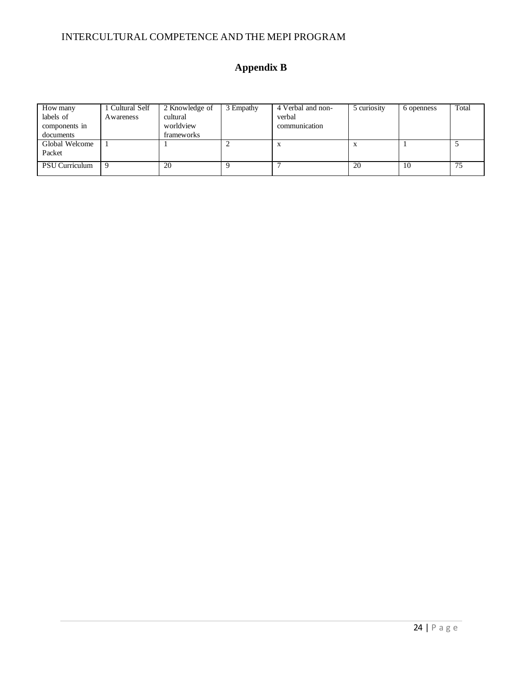# **Appendix B**

| How many       | 1 Cultural Self | 2 Knowledge of | 3 Empathy | 4 Verbal and non- | 5 curiosity | 6 openness | Total |
|----------------|-----------------|----------------|-----------|-------------------|-------------|------------|-------|
| labels of      | Awareness       | cultural       |           | verbal            |             |            |       |
| components in  |                 | worldview      |           | communication     |             |            |       |
| documents      |                 | frameworks     |           |                   |             |            |       |
| Global Welcome |                 |                |           | X                 |             |            |       |
| Packet         |                 |                |           |                   |             |            |       |
| PSU Curriculum | -9              | 20             |           |                   | 20          | 10         | 75    |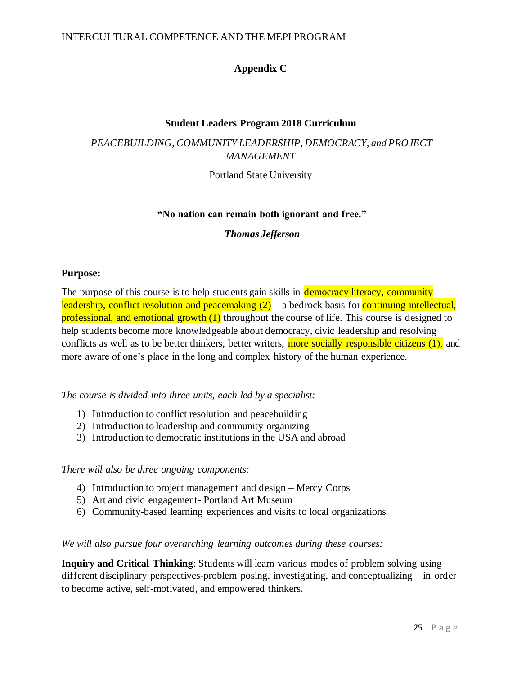### **Appendix C**

### **Student Leaders Program 2018 Curriculum**

### *PEACEBUILDING, COMMUNITY LEADERSHIP, DEMOCRACY, and PROJECT MANAGEMENT*

Portland State University

### **"No nation can remain both ignorant and free."**

### *Thomas Jefferson*

### **Purpose:**

The purpose of this course is to help students gain skills in **democracy literacy**, community leadership, conflict resolution and peacemaking  $(2)$  – a bedrock basis for continuing intellectual, professional, and emotional growth (1) throughout the course of life. This course is designed to help students become more knowledgeable about democracy, civic leadership and resolving conflicts as well as to be better thinkers, better writers, **more socially responsible citizens (1)**, and more aware of one's place in the long and complex history of the human experience.

*The course is divided into three units, each led by a specialist:*

- 1) Introduction to conflict resolution and peacebuilding
- 2) Introduction to leadership and community organizing
- 3) Introduction to democratic institutions in the USA and abroad

### *There will also be three ongoing components:*

- 4) Introduction to project management and design Mercy Corps
- 5) Art and civic engagement- Portland Art Museum
- 6) Community-based learning experiences and visits to local organizations

*We will also pursue four overarching learning outcomes during these courses:*

**Inquiry and Critical Thinking**: Students will learn various modes of problem solving using different disciplinary perspectives-problem posing, investigating, and conceptualizing—in order to become active, self-motivated, and empowered thinkers.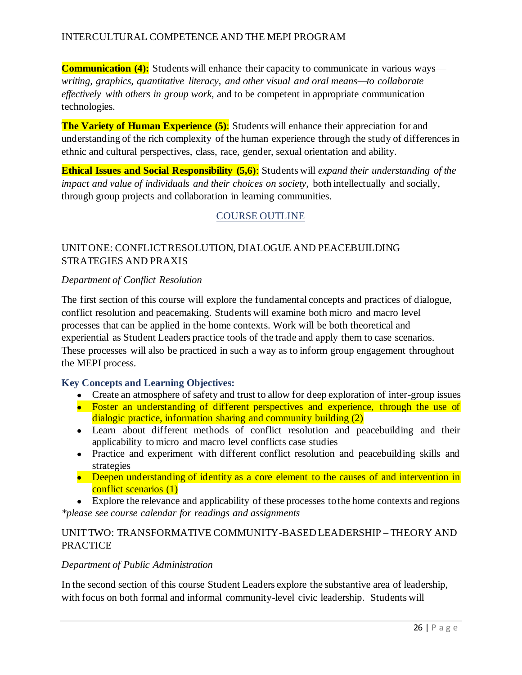**Communication (4):** Students will enhance their capacity to communicate in various ways *writing, graphics, quantitative literacy, and other visual and oral means—to collaborate effectively with others in group work,* and to be competent in appropriate communication technologies.

**The Variety of Human Experience (5):** Students will enhance their appreciation for and understanding of the rich complexity of the human experience through the study of differences in ethnic and cultural perspectives, class, race, gender, sexual orientation and ability.

**Ethical Issues and Social Responsibility (5,6)**: Students will *expand their understanding of the impact and value of individuals and their choices on society,* both intellectually and socially, through group projects and collaboration in learning communities.

### COURSE OUTLINE

### UNIT ONE: CONFLICT RESOLUTION, DIALOGUE AND PEACEBUILDING STRATEGIES AND PRAXIS

#### *Department of Conflict Resolution*

The first section of this course will explore the fundamental concepts and practices of dialogue, conflict resolution and peacemaking. Students will examine both micro and macro level processes that can be applied in the home contexts. Work will be both theoretical and experiential as Student Leaders practice tools of the trade and apply them to case scenarios. These processes will also be practiced in such a way as to inform group engagement throughout the MEPI process.

### **Key Concepts and Learning Objectives:**

- Create an atmosphere of safety and trust to allow for deep exploration of inter-group issues
- Foster an understanding of different perspectives and experience, through the use of dialogic practice, information sharing and community building (2)
- Learn about different methods of conflict resolution and peacebuilding and their applicability to micro and macro level conflicts case studies
- Practice and experiment with different conflict resolution and peacebuilding skills and strategies
- Deepen understanding of identity as a core element to the causes of and intervention in conflict scenarios (1)

• Explore the relevance and applicability of these processes to the home contexts and regions *\*please see course calendar for readings and assignments*

### UNIT TWO: TRANSFORMATIVE COMMUNITY-BASED LEADERSHIP – THEORY AND PRACTICE

#### *Department of Public Administration*

In the second section of this course Student Leaders explore the substantive area of leadership, with focus on both formal and informal community-level civic leadership. Students will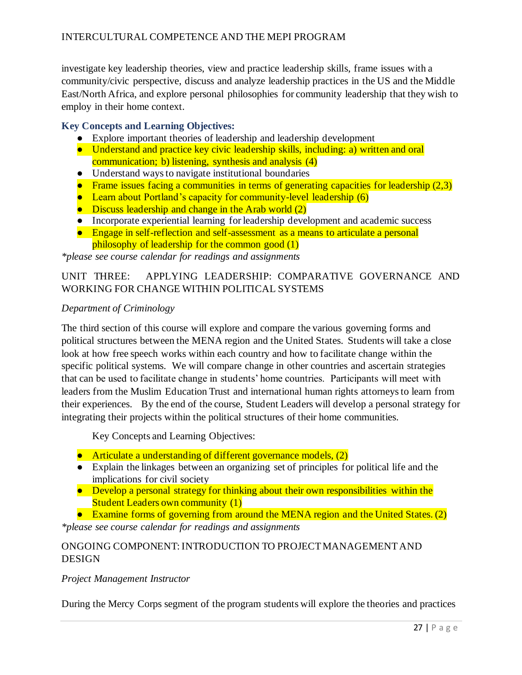investigate key leadership theories, view and practice leadership skills, frame issues with a community/civic perspective, discuss and analyze leadership practices in the US and the Middle East/North Africa, and explore personal philosophies for community leadership that they wish to employ in their home context.

### **Key Concepts and Learning Objectives:**

- Explore important theories of leadership and leadership development
- Understand and practice key civic leadership skills, including: a) written and oral communication; b) listening, synthesis and analysis (4)
- Understand ways to navigate institutional boundaries
- Frame issues facing a communities in terms of generating capacities for leadership  $(2,3)$
- Learn about Portland's capacity for community-level leadership (6)
- Discuss leadership and change in the Arab world (2)
- Incorporate experiential learning for leadership development and academic success
- Engage in self-reflection and self-assessment as a means to articulate a personal philosophy of leadership for the common good (1)

*\*please see course calendar for readings and assignments*

### UNIT THREE: APPLYING LEADERSHIP: COMPARATIVE GOVERNANCE AND WORKING FOR CHANGE WITHIN POLITICAL SYSTEMS

### *Department of Criminology*

The third section of this course will explore and compare the various governing forms and political structures between the MENA region and the United States. Students will take a close look at how free speech works within each country and how to facilitate change within the specific political systems. We will compare change in other countries and ascertain strategies that can be used to facilitate change in students' home countries. Participants will meet with leaders from the Muslim Education Trust and international human rights attorneys to learn from their experiences. By the end of the course, Student Leaders will develop a personal strategy for integrating their projects within the political structures of their home communities.

Key Concepts and Learning Objectives:

- Articulate a understanding of different governance models, (2)
- Explain the linkages between an organizing set of principles for political life and the implications for civil society
- Develop a personal strategy for thinking about their own responsibilities within the Student Leaders own community (1)
- Examine forms of governing from around the MENA region and the United States. (2)

*\*please see course calendar for readings and assignments*

### ONGOING COMPONENT: INTRODUCTION TO PROJECT MANAGEMENT AND DESIGN

### *Project Management Instructor*

During the Mercy Corps segment of the program students will explore the theories and practices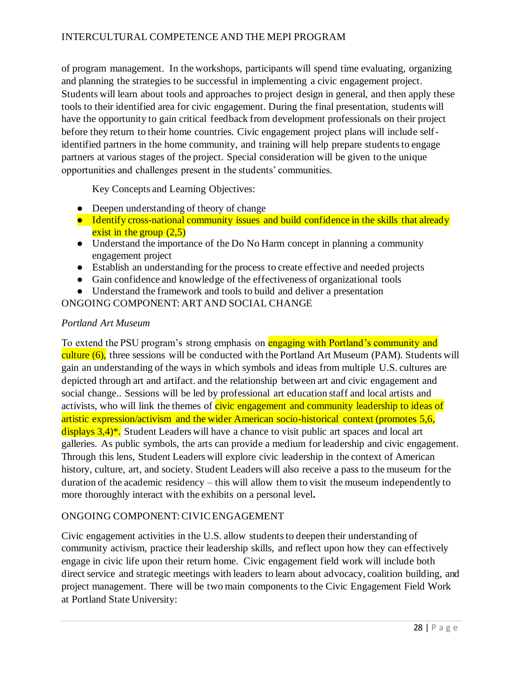of program management. In the workshops, participants will spend time evaluating, organizing and planning the strategies to be successful in implementing a civic engagement project. Students will learn about tools and approaches to project design in general, and then apply these tools to their identified area for civic engagement. During the final presentation, students will have the opportunity to gain critical feedback from development professionals on their project before they return to their home countries. Civic engagement project plans will include selfidentified partners in the home community, and training will help prepare students to engage partners at various stages of the project. Special consideration will be given to the unique opportunities and challenges present in the students' communities.

Key Concepts and Learning Objectives:

- Deepen understanding of theory of change
- Identify cross-national community issues and build confidence in the skills that already exist in the group  $(2.5)$
- Understand the importance of the Do No Harm concept in planning a community engagement project
- Establish an understanding for the process to create effective and needed projects
- Gain confidence and knowledge of the effectiveness of organizational tools
- Understand the framework and tools to build and deliver a presentation

ONGOING COMPONENT: ART AND SOCIAL CHANGE

### *Portland Art Museum*

To extend the PSU program's strong emphasis on **engaging with Portland's community and** culture (6), three sessions will be conducted with the Portland Art Museum (PAM). Students will gain an understanding of the ways in which symbols and ideas from multiple U.S. cultures are depicted through art and artifact. and the relationship between art and civic engagement and social change.. Sessions will be led by professional art education staff and local artists and activists, who will link the themes of civic engagement and community leadership to ideas of artistic expression/activism and the wider American socio-historical context (promotes 5,6, displays  $3,4$ <sup>\*</sup>. Student Leaders will have a chance to visit public art spaces and local art galleries. As public symbols, the arts can provide a medium for leadership and civic engagement. Through this lens, Student Leaders will explore civic leadership in the context of American history, culture, art, and society. Student Leaders will also receive a pass to the museum for the duration of the academic residency – this will allow them to visit the museum independently to more thoroughly interact with the exhibits on a personal level**.** 

### ONGOING COMPONENT: CIVIC ENGAGEMENT

Civic engagement activities in the U.S. allow students to deepen their understanding of community activism, practice their leadership skills, and reflect upon how they can effectively engage in civic life upon their return home. Civic engagement field work will include both direct service and strategic meetings with leaders to learn about advocacy, coalition building, and project management. There will be two main components to the Civic Engagement Field Work at Portland State University: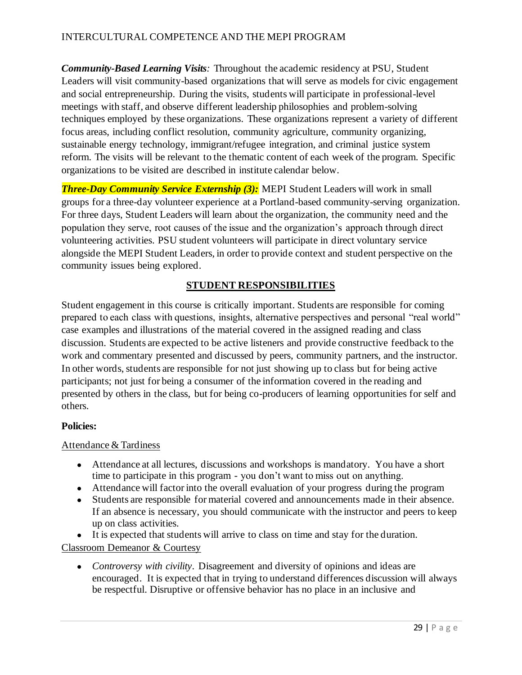*Community-Based Learning Visits:* Throughout the academic residency at PSU, Student Leaders will visit community-based organizations that will serve as models for civic engagement and social entrepreneurship. During the visits, students will participate in professional-level meetings with staff, and observe different leadership philosophies and problem-solving techniques employed by these organizations. These organizations represent a variety of different focus areas, including conflict resolution, community agriculture, community organizing, sustainable energy technology, immigrant/refugee integration, and criminal justice system reform. The visits will be relevant to the thematic content of each week of the program. Specific organizations to be visited are described in institute calendar below.

*Three-Day Community Service Externship (3):* MEPI Student Leaders will work in small groups for a three-day volunteer experience at a Portland-based community-serving organization. For three days, Student Leaders will learn about the organization, the community need and the population they serve, root causes of the issue and the organization's approach through direct volunteering activities. PSU student volunteers will participate in direct voluntary service alongside the MEPI Student Leaders, in order to provide context and student perspective on the community issues being explored.

### **STUDENT RESPONSIBILITIES**

Student engagement in this course is critically important. Students are responsible for coming prepared to each class with questions, insights, alternative perspectives and personal "real world" case examples and illustrations of the material covered in the assigned reading and class discussion. Students are expected to be active listeners and provide constructive feedback to the work and commentary presented and discussed by peers, community partners, and the instructor. In other words, students are responsible for not just showing up to class but for being active participants; not just for being a consumer of the information covered in the reading and presented by others in the class, but for being co-producers of learning opportunities for self and others.

### **Policies:**

### Attendance & Tardiness

- Attendance at all lectures, discussions and workshops is mandatory. You have a short time to participate in this program - you don't want to miss out on anything.
- Attendance will factor into the overall evaluation of your progress during the program
- Students are responsible for material covered and announcements made in their absence. If an absence is necessary, you should communicate with the instructor and peers to keep up on class activities.
- It is expected that students will arrive to class on time and stay for the duration.

Classroom Demeanor & Courtesy

• *Controversy with civility*. Disagreement and diversity of opinions and ideas are encouraged. It is expected that in trying to understand differences discussion will always be respectful. Disruptive or offensive behavior has no place in an inclusive and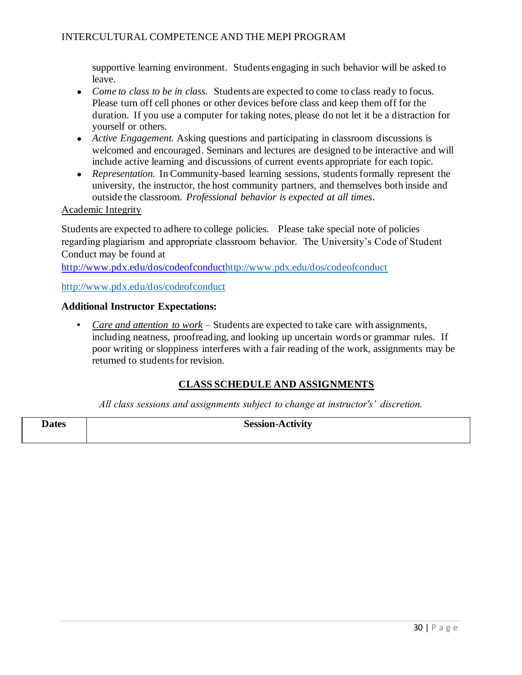supportive learning environment. Students engaging in such behavior will be asked to leave.

- *Come to class to be in class.* Students are expected to come to class ready to focus. Please turn off cell phones or other devices before class and keep them off for the duration. If you use a computer for taking notes, please do not let it be a distraction for yourself or others.
- *Active Engagement.* Asking questions and participating in classroom discussions is welcomed and encouraged. Seminars and lectures are designed to be interactive and will include active learning and discussions of current events appropriate for each topic.
- *Representation*. In Community-based learning sessions, students formally represent the university, the instructor, the host community partners, and themselves both inside and outside the classroom. *Professional behavior is expected at all times*.

### Academic Integrity

Students are expected to adhere to college policies. Please take special note of policies regarding plagiarism and appropriate classroom behavior. The University's Code of Student Conduct may be found at

[http://www.pdx.edu/dos/codeofconducthttp://www.pdx.edu/dos/codeofconduct](http://www.pdx.edu/dos/codeofconduct)

<http://www.pdx.edu/dos/codeofconduct>

#### **Additional Instructor Expectations:**

▪ *Care and attention to work* – Students are expected to take care with assignments, including neatness, proofreading, and looking up uncertain words or grammar rules. If poor writing or sloppiness interferes with a fair reading of the work, assignments may be returned to students for revision.

### **CLASS SCHEDULE AND ASSIGNMENTS**

*All class sessions and assignments subject to change at instructor's' discretion.*

**Dates Session-Activity**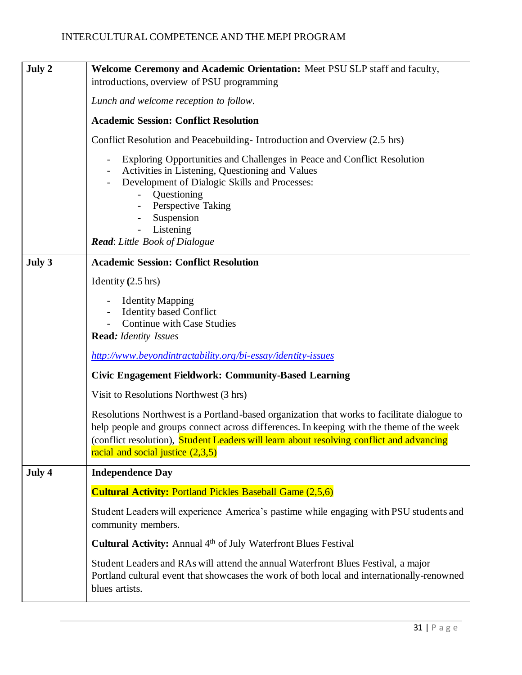| July 2 | Welcome Ceremony and Academic Orientation: Meet PSU SLP staff and faculty,<br>introductions, overview of PSU programming                                                                                                                                                                                                                               |
|--------|--------------------------------------------------------------------------------------------------------------------------------------------------------------------------------------------------------------------------------------------------------------------------------------------------------------------------------------------------------|
|        | Lunch and welcome reception to follow.                                                                                                                                                                                                                                                                                                                 |
|        | <b>Academic Session: Conflict Resolution</b>                                                                                                                                                                                                                                                                                                           |
|        | Conflict Resolution and Peacebuilding-Introduction and Overview (2.5 hrs)                                                                                                                                                                                                                                                                              |
|        | Exploring Opportunities and Challenges in Peace and Conflict Resolution<br>$\overline{\phantom{a}}$<br>Activities in Listening, Questioning and Values<br>Development of Dialogic Skills and Processes:<br>Questioning<br>$\overline{\phantom{a}}$<br>Perspective Taking<br>Suspension<br>Listening<br>$\blacksquare$<br>Read: Little Book of Dialogue |
| July 3 | <b>Academic Session: Conflict Resolution</b>                                                                                                                                                                                                                                                                                                           |
|        | Identity $(2.5 \text{ hrs})$                                                                                                                                                                                                                                                                                                                           |
|        | <b>Identity Mapping</b><br><b>Identity based Conflict</b><br>Continue with Case Studies<br><b>Read:</b> Identity Issues                                                                                                                                                                                                                                |
|        | http://www.beyondintractability.org/bi-essay/identity-issues                                                                                                                                                                                                                                                                                           |
|        | <b>Civic Engagement Fieldwork: Community-Based Learning</b>                                                                                                                                                                                                                                                                                            |
|        | Visit to Resolutions Northwest (3 hrs)                                                                                                                                                                                                                                                                                                                 |
|        | Resolutions Northwest is a Portland-based organization that works to facilitate dialogue to<br>help people and groups connect across differences. In keeping with the theme of the week<br>(conflict resolution), Student Leaders will learn about resolving conflict and advancing<br>racial and social justice $(2,3,5)$                             |
| July 4 | <b>Independence Day</b>                                                                                                                                                                                                                                                                                                                                |
|        | <b>Cultural Activity: Portland Pickles Baseball Game (2,5,6)</b>                                                                                                                                                                                                                                                                                       |
|        | Student Leaders will experience America's pastime while engaging with PSU students and<br>community members.                                                                                                                                                                                                                                           |
|        | <b>Cultural Activity:</b> Annual 4 <sup>th</sup> of July Waterfront Blues Festival                                                                                                                                                                                                                                                                     |
|        | Student Leaders and RAs will attend the annual Waterfront Blues Festival, a major<br>Portland cultural event that showcases the work of both local and internationally-renowned<br>blues artists.                                                                                                                                                      |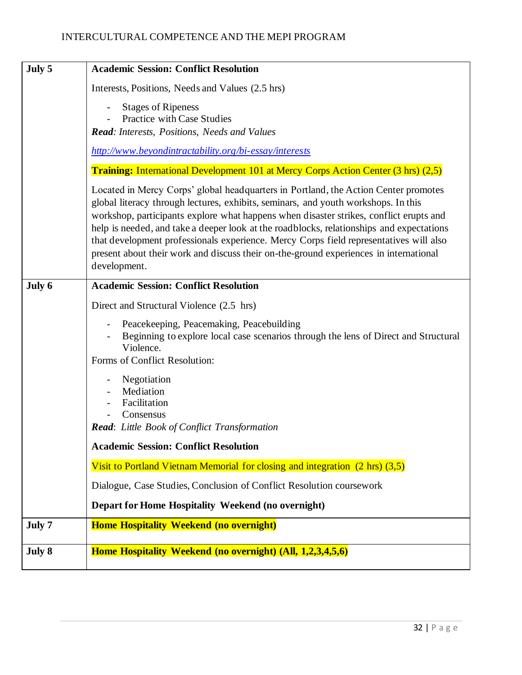| July 5 | <b>Academic Session: Conflict Resolution</b>                                                                                                                                                                                                                                                                                                                                                                                                                                                                                                                       |
|--------|--------------------------------------------------------------------------------------------------------------------------------------------------------------------------------------------------------------------------------------------------------------------------------------------------------------------------------------------------------------------------------------------------------------------------------------------------------------------------------------------------------------------------------------------------------------------|
|        | Interests, Positions, Needs and Values (2.5 hrs)                                                                                                                                                                                                                                                                                                                                                                                                                                                                                                                   |
|        | <b>Stages of Ripeness</b><br>Practice with Case Studies<br><b>Read:</b> Interests, Positions, Needs and Values                                                                                                                                                                                                                                                                                                                                                                                                                                                     |
|        | http://www.beyondintractability.org/bi-essay/interests                                                                                                                                                                                                                                                                                                                                                                                                                                                                                                             |
|        | <b>Training:</b> International Development 101 at Mercy Corps Action Center (3 hrs) (2,5)                                                                                                                                                                                                                                                                                                                                                                                                                                                                          |
|        | Located in Mercy Corps' global headquarters in Portland, the Action Center promotes<br>global literacy through lectures, exhibits, seminars, and youth workshops. In this<br>workshop, participants explore what happens when disaster strikes, conflict erupts and<br>help is needed, and take a deeper look at the roadblocks, relationships and expectations<br>that development professionals experience. Mercy Corps field representatives will also<br>present about their work and discuss their on-the-ground experiences in international<br>development. |
| July 6 | <b>Academic Session: Conflict Resolution</b>                                                                                                                                                                                                                                                                                                                                                                                                                                                                                                                       |
|        | Direct and Structural Violence (2.5 hrs)                                                                                                                                                                                                                                                                                                                                                                                                                                                                                                                           |
|        | Peacekeeping, Peacemaking, Peacebuilding<br>Beginning to explore local case scenarios through the lens of Direct and Structural<br>Violence.<br>Forms of Conflict Resolution:                                                                                                                                                                                                                                                                                                                                                                                      |
|        | Negotiation<br>Mediation<br>Facilitation<br>Consensus<br>Read: Little Book of Conflict Transformation                                                                                                                                                                                                                                                                                                                                                                                                                                                              |
|        | <b>Academic Session: Conflict Resolution</b>                                                                                                                                                                                                                                                                                                                                                                                                                                                                                                                       |
|        | Visit to Portland Vietnam Memorial for closing and integration $(2 \text{ hrs})$ $(3,5)$                                                                                                                                                                                                                                                                                                                                                                                                                                                                           |
|        | Dialogue, Case Studies, Conclusion of Conflict Resolution coursework                                                                                                                                                                                                                                                                                                                                                                                                                                                                                               |
|        | Depart for Home Hospitality Weekend (no overnight)                                                                                                                                                                                                                                                                                                                                                                                                                                                                                                                 |
| July 7 | <b>Home Hospitality Weekend (no overnight)</b>                                                                                                                                                                                                                                                                                                                                                                                                                                                                                                                     |
| July 8 | Home Hospitality Weekend (no overnight) (All, 1,2,3,4,5,6)                                                                                                                                                                                                                                                                                                                                                                                                                                                                                                         |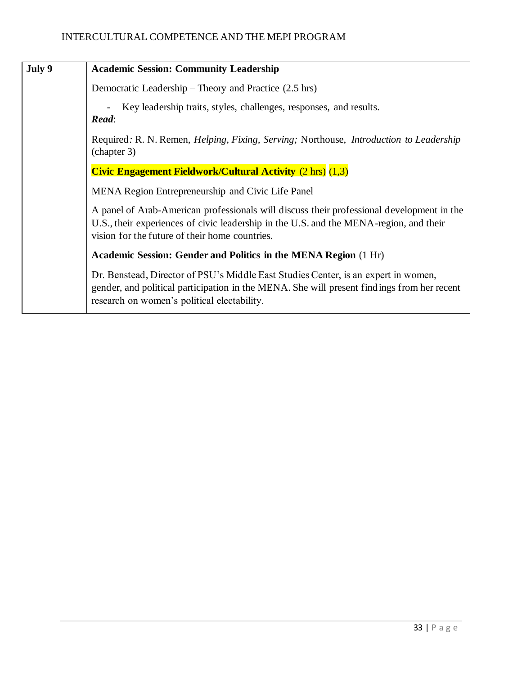| July 9 | <b>Academic Session: Community Leadership</b>                                                                                                                                                                                         |
|--------|---------------------------------------------------------------------------------------------------------------------------------------------------------------------------------------------------------------------------------------|
|        | Democratic Leadership – Theory and Practice (2.5 hrs)                                                                                                                                                                                 |
|        | Key leadership traits, styles, challenges, responses, and results.<br>Read:                                                                                                                                                           |
|        | Required: R. N. Remen, <i>Helping, Fixing, Serving;</i> Northouse, <i>Introduction to Leadership</i><br>(chapter 3)                                                                                                                   |
|        | <b>Civic Engagement Fieldwork/Cultural Activity (2 hrs) (1,3)</b>                                                                                                                                                                     |
|        | MENA Region Entrepreneurship and Civic Life Panel                                                                                                                                                                                     |
|        | A panel of Arab-American professionals will discuss their professional development in the<br>U.S., their experiences of civic leadership in the U.S. and the MENA-region, and their<br>vision for the future of their home countries. |
|        | Academic Session: Gender and Politics in the MENA Region (1 Hr)                                                                                                                                                                       |
|        | Dr. Benstead, Director of PSU's Middle East Studies Center, is an expert in women,<br>gender, and political participation in the MENA. She will present findings from her recent<br>research on women's political electability.       |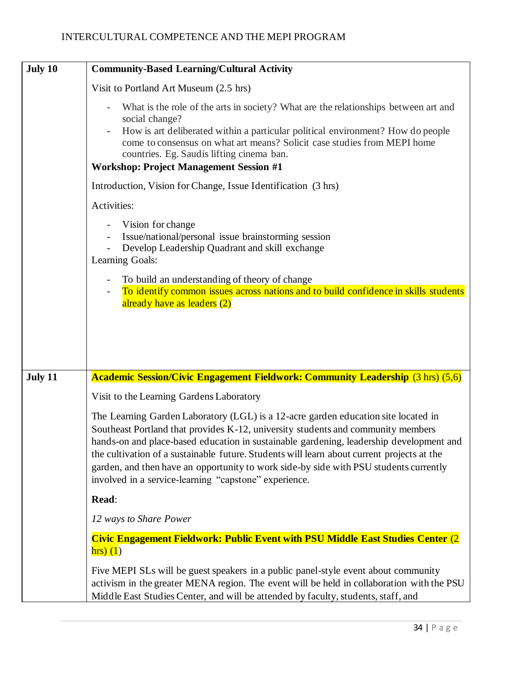| July 10 | <b>Community-Based Learning/Cultural Activity</b>                                                                                                                                                                                                                                                                                                                                                                                                                                                                 |
|---------|-------------------------------------------------------------------------------------------------------------------------------------------------------------------------------------------------------------------------------------------------------------------------------------------------------------------------------------------------------------------------------------------------------------------------------------------------------------------------------------------------------------------|
|         | Visit to Portland Art Museum (2.5 hrs)                                                                                                                                                                                                                                                                                                                                                                                                                                                                            |
|         | What is the role of the arts in society? What are the relationships between art and<br>social change?<br>How is art deliberated within a particular political environment? How do people<br>come to consensus on what art means? Solicit case studies from MEPI home<br>countries. Eg. Saudis lifting cinema ban.<br><b>Workshop: Project Management Session #1</b>                                                                                                                                               |
|         | Introduction, Vision for Change, Issue Identification (3 hrs)                                                                                                                                                                                                                                                                                                                                                                                                                                                     |
|         | Activities:                                                                                                                                                                                                                                                                                                                                                                                                                                                                                                       |
|         | Vision for change<br>Issue/national/personal issue brainstorming session<br>Develop Leadership Quadrant and skill exchange<br>Learning Goals:                                                                                                                                                                                                                                                                                                                                                                     |
|         | To build an understanding of theory of change<br>To identify common issues across nations and to build confidence in skills students                                                                                                                                                                                                                                                                                                                                                                              |
| July 11 | already have as leaders (2)<br><b>Academic Session/Civic Engagement Fieldwork: Community Leadership (3 hrs) (5,6)</b>                                                                                                                                                                                                                                                                                                                                                                                             |
|         | Visit to the Learning Gardens Laboratory                                                                                                                                                                                                                                                                                                                                                                                                                                                                          |
|         | The Learning Garden Laboratory (LGL) is a 12-acre garden education site located in<br>Southeast Portland that provides K-12, university students and community members<br>hands-on and place-based education in sustainable gardening, leadership development and<br>the cultivation of a sustainable future. Students will learn about current projects at the<br>garden, and then have an opportunity to work side-by side with PSU students currently<br>involved in a service-learning "capstone" experience. |
|         | Read:                                                                                                                                                                                                                                                                                                                                                                                                                                                                                                             |
|         | 12 ways to Share Power                                                                                                                                                                                                                                                                                                                                                                                                                                                                                            |
|         | <b>Civic Engagement Fieldwork: Public Event with PSU Middle East Studies Center (2)</b><br>hrs(1)                                                                                                                                                                                                                                                                                                                                                                                                                 |
|         | Five MEPI SLs will be guest speakers in a public panel-style event about community<br>activism in the greater MENA region. The event will be held in collaboration with the PSU<br>Middle East Studies Center, and will be attended by faculty, students, staff, and                                                                                                                                                                                                                                              |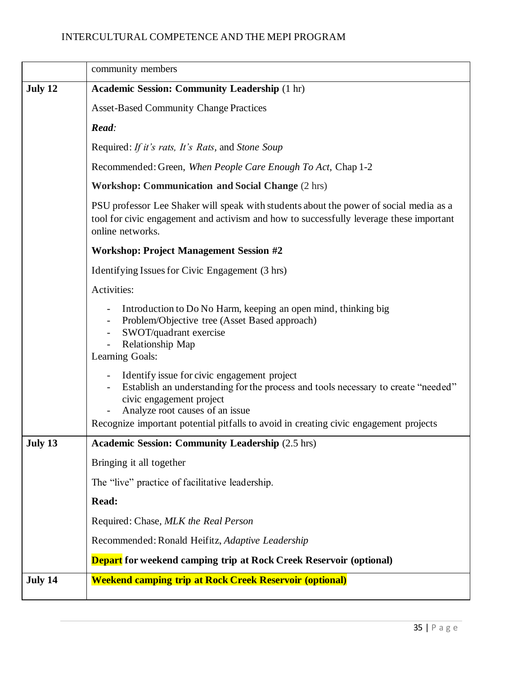|         | community members                                                                                                                                                                                                                                                                        |  |  |  |
|---------|------------------------------------------------------------------------------------------------------------------------------------------------------------------------------------------------------------------------------------------------------------------------------------------|--|--|--|
| July 12 | <b>Academic Session: Community Leadership (1 hr)</b>                                                                                                                                                                                                                                     |  |  |  |
|         | <b>Asset-Based Community Change Practices</b>                                                                                                                                                                                                                                            |  |  |  |
|         | Read:                                                                                                                                                                                                                                                                                    |  |  |  |
|         | Required: If it's rats, It's Rats, and Stone Soup                                                                                                                                                                                                                                        |  |  |  |
|         | Recommended: Green, When People Care Enough To Act, Chap 1-2                                                                                                                                                                                                                             |  |  |  |
|         | <b>Workshop: Communication and Social Change (2 hrs)</b>                                                                                                                                                                                                                                 |  |  |  |
|         | PSU professor Lee Shaker will speak with students about the power of social media as a<br>tool for civic engagement and activism and how to successfully leverage these important<br>online networks.                                                                                    |  |  |  |
|         | <b>Workshop: Project Management Session #2</b>                                                                                                                                                                                                                                           |  |  |  |
|         | Identifying Issues for Civic Engagement (3 hrs)                                                                                                                                                                                                                                          |  |  |  |
|         | Activities:                                                                                                                                                                                                                                                                              |  |  |  |
|         | Introduction to Do No Harm, keeping an open mind, thinking big<br>Problem/Objective tree (Asset Based approach)<br>SWOT/quadrant exercise<br>Relationship Map<br>Learning Goals:                                                                                                         |  |  |  |
|         | Identify issue for civic engagement project<br>Establish an understanding for the process and tools necessary to create "needed"<br>civic engagement project<br>Analyze root causes of an issue<br>Recognize important potential pitfalls to avoid in creating civic engagement projects |  |  |  |
| July 13 | <b>Academic Session: Community Leadership (2.5 hrs)</b>                                                                                                                                                                                                                                  |  |  |  |
|         | Bringing it all together                                                                                                                                                                                                                                                                 |  |  |  |
|         | The "live" practice of facilitative leadership.                                                                                                                                                                                                                                          |  |  |  |
|         | Read:                                                                                                                                                                                                                                                                                    |  |  |  |
|         | Required: Chase, MLK the Real Person                                                                                                                                                                                                                                                     |  |  |  |
|         | Recommended: Ronald Heifitz, Adaptive Leadership                                                                                                                                                                                                                                         |  |  |  |
|         | <b>Depart</b> for weekend camping trip at Rock Creek Reservoir (optional)                                                                                                                                                                                                                |  |  |  |
| July 14 | <b>Weekend camping trip at Rock Creek Reservoir (optional)</b>                                                                                                                                                                                                                           |  |  |  |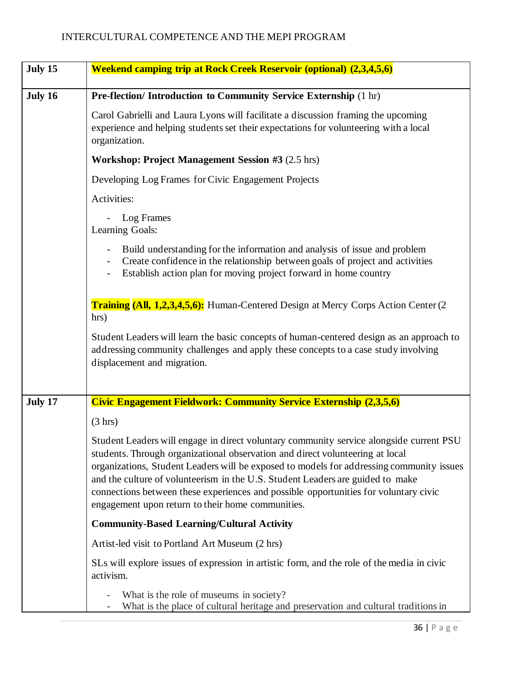| July 15 | <b>Weekend camping trip at Rock Creek Reservoir (optional) (2,3,4,5,6)</b>                                                                                                                                                                                                                                                                                                                                                                                                                          |
|---------|-----------------------------------------------------------------------------------------------------------------------------------------------------------------------------------------------------------------------------------------------------------------------------------------------------------------------------------------------------------------------------------------------------------------------------------------------------------------------------------------------------|
| July 16 | Pre-flection/ Introduction to Community Service Externship (1 hr)                                                                                                                                                                                                                                                                                                                                                                                                                                   |
|         | Carol Gabrielli and Laura Lyons will facilitate a discussion framing the upcoming<br>experience and helping students set their expectations for volunteering with a local<br>organization.                                                                                                                                                                                                                                                                                                          |
|         | Workshop: Project Management Session #3 (2.5 hrs)                                                                                                                                                                                                                                                                                                                                                                                                                                                   |
|         | Developing Log Frames for Civic Engagement Projects                                                                                                                                                                                                                                                                                                                                                                                                                                                 |
|         | Activities:                                                                                                                                                                                                                                                                                                                                                                                                                                                                                         |
|         | Log Frames<br>Learning Goals:                                                                                                                                                                                                                                                                                                                                                                                                                                                                       |
|         | Build understanding for the information and analysis of issue and problem<br>Create confidence in the relationship between goals of project and activities<br>Establish action plan for moving project forward in home country                                                                                                                                                                                                                                                                      |
|         | <b>Training (All, 1,2,3,4,5,6):</b> Human-Centered Design at Mercy Corps Action Center (2)<br>hrs)                                                                                                                                                                                                                                                                                                                                                                                                  |
|         | Student Leaders will learn the basic concepts of human-centered design as an approach to<br>addressing community challenges and apply these concepts to a case study involving<br>displacement and migration.                                                                                                                                                                                                                                                                                       |
| July 17 | <b>Civic Engagement Fieldwork: Community Service Externship (2,3,5,6)</b>                                                                                                                                                                                                                                                                                                                                                                                                                           |
|         | (3 hr)                                                                                                                                                                                                                                                                                                                                                                                                                                                                                              |
|         | Student Leaders will engage in direct voluntary community service alongside current PSU<br>students. Through organizational observation and direct volunteering at local<br>organizations, Student Leaders will be exposed to models for addressing community issues<br>and the culture of volunteerism in the U.S. Student Leaders are guided to make<br>connections between these experiences and possible opportunities for voluntary civic<br>engagement upon return to their home communities. |
|         | <b>Community-Based Learning/Cultural Activity</b>                                                                                                                                                                                                                                                                                                                                                                                                                                                   |
|         | Artist-led visit to Portland Art Museum (2 hrs)                                                                                                                                                                                                                                                                                                                                                                                                                                                     |
|         | SLs will explore issues of expression in artistic form, and the role of the media in civic<br>activism.                                                                                                                                                                                                                                                                                                                                                                                             |
|         | What is the role of museums in society?<br>What is the place of cultural heritage and preservation and cultural traditions in                                                                                                                                                                                                                                                                                                                                                                       |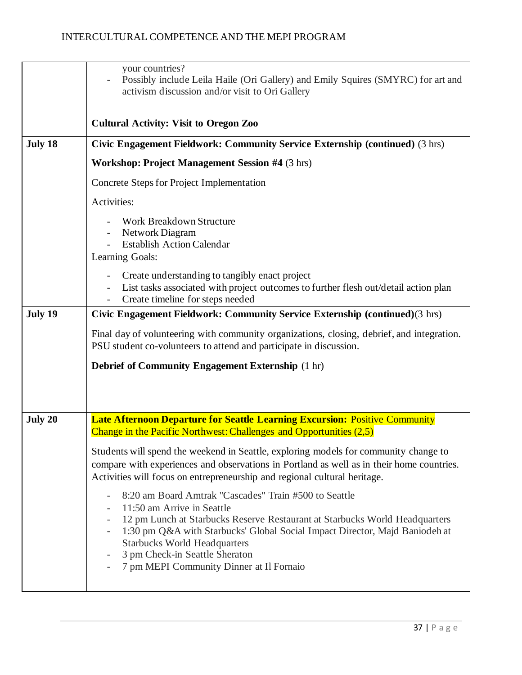|         | your countries?<br>Possibly include Leila Haile (Ori Gallery) and Emily Squires (SMYRC) for art and<br>activism discussion and/or visit to Ori Gallery                                                                                                                                                                                                                                                                                           |
|---------|--------------------------------------------------------------------------------------------------------------------------------------------------------------------------------------------------------------------------------------------------------------------------------------------------------------------------------------------------------------------------------------------------------------------------------------------------|
|         | <b>Cultural Activity: Visit to Oregon Zoo</b>                                                                                                                                                                                                                                                                                                                                                                                                    |
| July 18 | Civic Engagement Fieldwork: Community Service Externship (continued) (3 hrs)                                                                                                                                                                                                                                                                                                                                                                     |
|         | <b>Workshop: Project Management Session #4 (3 hrs)</b>                                                                                                                                                                                                                                                                                                                                                                                           |
|         | Concrete Steps for Project Implementation                                                                                                                                                                                                                                                                                                                                                                                                        |
|         | Activities:                                                                                                                                                                                                                                                                                                                                                                                                                                      |
|         | Work Breakdown Structure<br>Network Diagram<br><b>Establish Action Calendar</b><br>Learning Goals:                                                                                                                                                                                                                                                                                                                                               |
|         | Create understanding to tangibly enact project<br>List tasks associated with project outcomes to further flesh out/detail action plan<br>Create timeline for steps needed                                                                                                                                                                                                                                                                        |
| July 19 | Civic Engagement Fieldwork: Community Service Externship (continued)(3 hrs)                                                                                                                                                                                                                                                                                                                                                                      |
|         | Final day of volunteering with community organizations, closing, debrief, and integration.<br>PSU student co-volunteers to attend and participate in discussion.                                                                                                                                                                                                                                                                                 |
|         | <b>Debrief of Community Engagement Externship (1 hr)</b>                                                                                                                                                                                                                                                                                                                                                                                         |
|         |                                                                                                                                                                                                                                                                                                                                                                                                                                                  |
| July 20 | <b>Late Afternoon Departure for Seattle Learning Excursion: Positive Community</b><br>Change in the Pacific Northwest: Challenges and Opportunities (2,5)                                                                                                                                                                                                                                                                                        |
|         | Students will spend the weekend in Seattle, exploring models for community change to<br>compare with experiences and observations in Portland as well as in their home countries.<br>Activities will focus on entrepreneurship and regional cultural heritage.                                                                                                                                                                                   |
|         | 8:20 am Board Amtrak "Cascades" Train #500 to Seattle<br>$\qquad \qquad -$<br>11:50 am Arrive in Seattle<br>12 pm Lunch at Starbucks Reserve Restaurant at Starbucks World Headquarters<br>1:30 pm Q&A with Starbucks' Global Social Impact Director, Majd Baniodeh at<br>$\qquad \qquad -$<br><b>Starbucks World Headquarters</b><br>3 pm Check-in Seattle Sheraton<br>7 pm MEPI Community Dinner at Il Fornaio<br>$\qquad \qquad \blacksquare$ |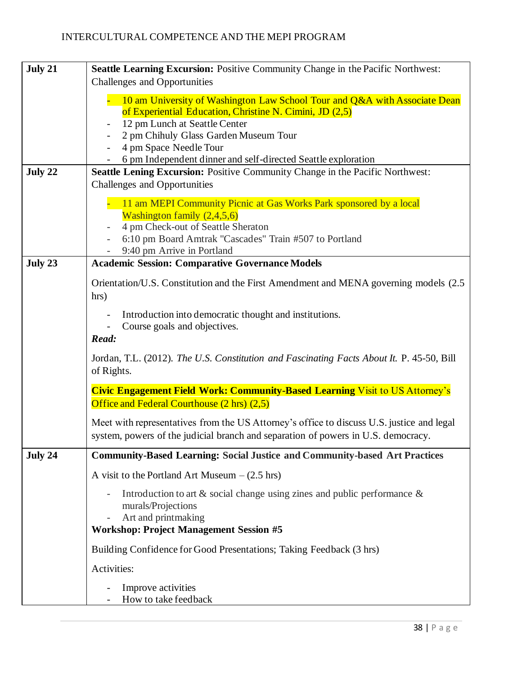| July 21 | Seattle Learning Excursion: Positive Community Change in the Pacific Northwest:                                                                                                |
|---------|--------------------------------------------------------------------------------------------------------------------------------------------------------------------------------|
|         | Challenges and Opportunities                                                                                                                                                   |
|         | 10 am University of Washington Law School Tour and Q&A with Associate Dean<br>of Experiential Education, Christine N. Cimini, JD (2,5)                                         |
|         | 12 pm Lunch at Seattle Center                                                                                                                                                  |
|         | 2 pm Chihuly Glass Garden Museum Tour<br>4 pm Space Needle Tour                                                                                                                |
|         | 6 pm Independent dinner and self-directed Seattle exploration                                                                                                                  |
| July 22 | Seattle Lening Excursion: Positive Community Change in the Pacific Northwest:                                                                                                  |
|         | <b>Challenges and Opportunities</b>                                                                                                                                            |
|         | 11 am MEPI Community Picnic at Gas Works Park sponsored by a local<br>Washington family $(2,4,5,6)$<br>4 pm Check-out of Seattle Sheraton                                      |
|         | 6:10 pm Board Amtrak "Cascades" Train #507 to Portland<br>9:40 pm Arrive in Portland                                                                                           |
| July 23 | <b>Academic Session: Comparative Governance Models</b>                                                                                                                         |
|         | Orientation/U.S. Constitution and the First Amendment and MENA governing models (2.5)<br>hrs)                                                                                  |
|         | Introduction into democratic thought and institutions.<br>Course goals and objectives.<br>Read:                                                                                |
|         | Jordan, T.L. (2012). The U.S. Constitution and Fascinating Facts About It. P. 45-50, Bill<br>of Rights.                                                                        |
|         | <b>Civic Engagement Field Work: Community-Based Learning Visit to US Attorney's</b><br>Office and Federal Courthouse (2 hrs) (2,5)                                             |
|         | Meet with representatives from the US Attorney's office to discuss U.S. justice and legal<br>system, powers of the judicial branch and separation of powers in U.S. democracy. |
| July 24 | <b>Community-Based Learning: Social Justice and Community-based Art Practices</b>                                                                                              |
|         | A visit to the Portland Art Museum $-$ (2.5 hrs)                                                                                                                               |
|         | Introduction to art $\&$ social change using zines and public performance $\&$<br>murals/Projections<br>Art and printmaking<br><b>Workshop: Project Management Session #5</b>  |
|         | Building Confidence for Good Presentations; Taking Feedback (3 hrs)                                                                                                            |
|         | Activities:                                                                                                                                                                    |
|         | Improve activities<br>How to take feedback                                                                                                                                     |